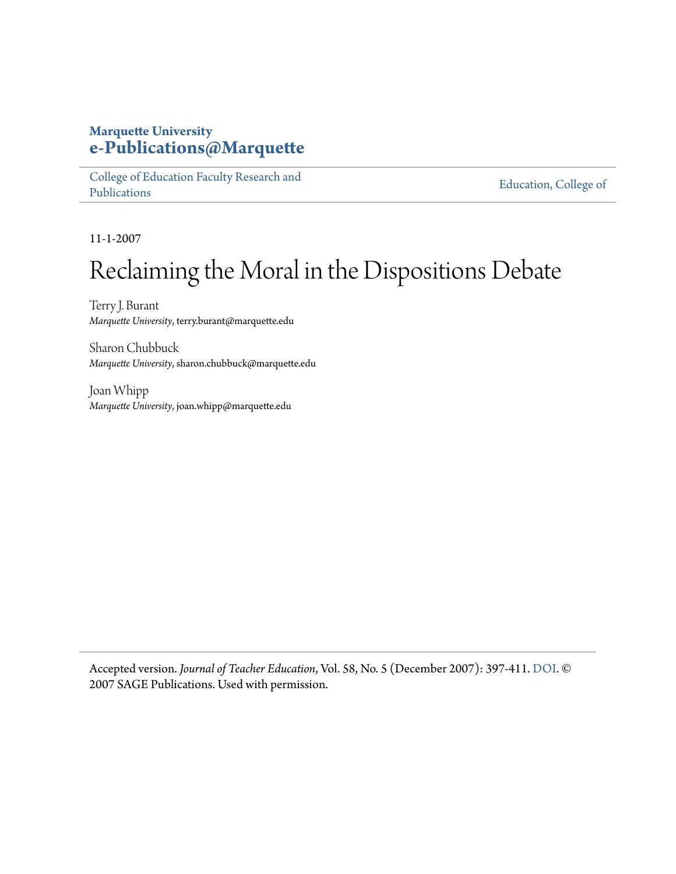#### **Marquette University [e-Publications@Marquette](https://epublications.marquette.edu)**

[College of Education Faculty Research and](https://epublications.marquette.edu/edu_fac) [Publications](https://epublications.marquette.edu/edu_fac)

[Education, College of](https://epublications.marquette.edu/education)

11-1-2007

# Reclaiming the Moral in the Dispositions Debate

Terry J. Burant *Marquette University*, terry.burant@marquette.edu

Sharon Chubbuck *Marquette University*, sharon.chubbuck@marquette.edu

Joan Whipp *Marquette University*, joan.whipp@marquette.edu

Accepted version. *Journal of Teacher Education*, Vol. 58, No. 5 (December 2007): 397-411. [DOI](http://dx.doi.org/10.1177/0022487107307949). © 2007 SAGE Publications. Used with permission.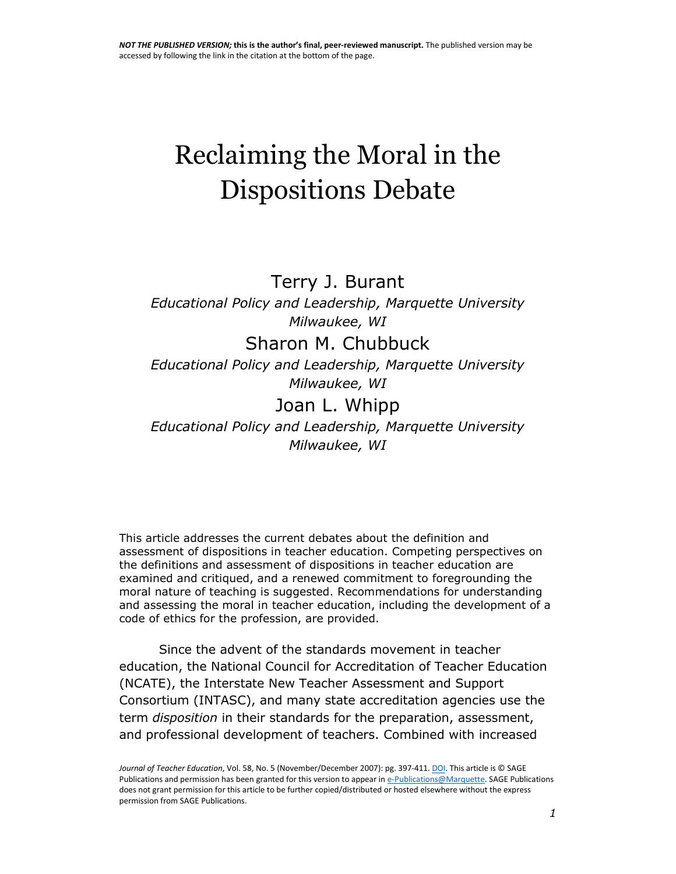# Reclaiming the Moral in the Dispositions Debate

Terry J. Burant

*Educational Policy and Leadership, Marquette University Milwaukee, WI*

# Sharon M. Chubbuck

*Educational Policy and Leadership, Marquette University Milwaukee, WI* 

## Joan L. Whipp

*Educational Policy and Leadership, Marquette University Milwaukee, WI*

This article addresses the current debates about the definition and assessment of dispositions in teacher education. Competing perspectives on the definitions and assessment of dispositions in teacher education are examined and critiqued, and a renewed commitment to foregrounding the moral nature of teaching is suggested. Recommendations for understanding and assessing the moral in teacher education, including the development of a code of ethics for the profession, are provided.

Since the advent of the standards movement in teacher education, the National Council for Accreditation of Teacher Education (NCATE), the Interstate New Teacher Assessment and Support Consortium (INTASC), and many state accreditation agencies use the term *disposition* in their standards for the preparation, assessment, and professional development of teachers. Combined with increased

*Journal of Teacher Education*, Vol. 58, No. 5 (November/December 2007): pg. 397-411[. DOI.](http://dx.doi.org/10.1177/0022487107307949) This article is © SAGE Publications and permission has been granted for this version to appear i[n e-Publications@Marquette.](http://epublications.marquette.edu/) SAGE Publications does not grant permission for this article to be further copied/distributed or hosted elsewhere without the express permission from SAGE Publications.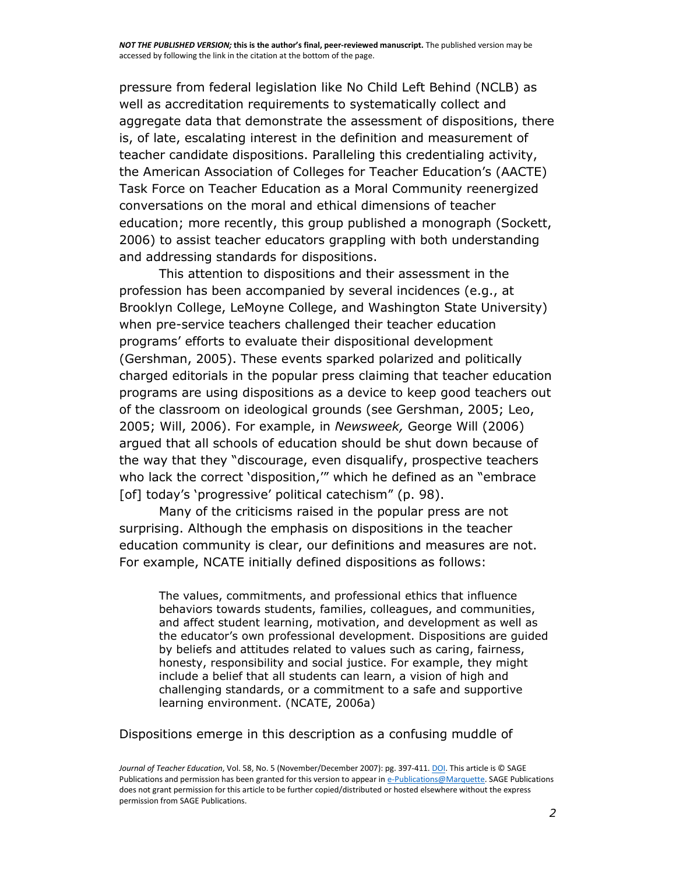pressure from federal legislation like No Child Left Behind (NCLB) as well as accreditation requirements to systematically collect and aggregate data that demonstrate the assessment of dispositions, there is, of late, escalating interest in the definition and measurement of teacher candidate dispositions. Paralleling this credentialing activity, the American Association of Colleges for Teacher Education's (AACTE) Task Force on Teacher Education as a Moral Community reenergized conversations on the moral and ethical dimensions of teacher education; more recently, this group published a monograph (Sockett, 2006) to assist teacher educators grappling with both understanding and addressing standards for dispositions.

This attention to dispositions and their assessment in the profession has been accompanied by several incidences (e.g., at Brooklyn College, LeMoyne College, and Washington State University) when pre-service teachers challenged their teacher education programs' efforts to evaluate their dispositional development (Gershman, 2005). These events sparked polarized and politically charged editorials in the popular press claiming that teacher education programs are using dispositions as a device to keep good teachers out of the classroom on ideological grounds (see Gershman, 2005; Leo, 2005; Will, 2006). For example, in *Newsweek,* George Will (2006) argued that all schools of education should be shut down because of the way that they "discourage, even disqualify, prospective teachers who lack the correct 'disposition,'" which he defined as an "embrace [of] today's 'progressive' political catechism" (p. 98).

Many of the criticisms raised in the popular press are not surprising. Although the emphasis on dispositions in the teacher education community is clear, our definitions and measures are not. For example, NCATE initially defined dispositions as follows:

The values, commitments, and professional ethics that influence behaviors towards students, families, colleagues, and communities, and affect student learning, motivation, and development as well as the educator's own professional development. Dispositions are guided by beliefs and attitudes related to values such as caring, fairness, honesty, responsibility and social justice. For example, they might include a belief that all students can learn, a vision of high and challenging standards, or a commitment to a safe and supportive learning environment. (NCATE, 2006a)

Dispositions emerge in this description as a confusing muddle of

*Journal of Teacher Education*, Vol. 58, No. 5 (November/December 2007): pg. 397-411[. DOI.](http://dx.doi.org/10.1177/0022487107307949) This article is © SAGE Publications and permission has been granted for this version to appear i[n e-Publications@Marquette.](http://epublications.marquette.edu/) SAGE Publications does not grant permission for this article to be further copied/distributed or hosted elsewhere without the express permission from SAGE Publications.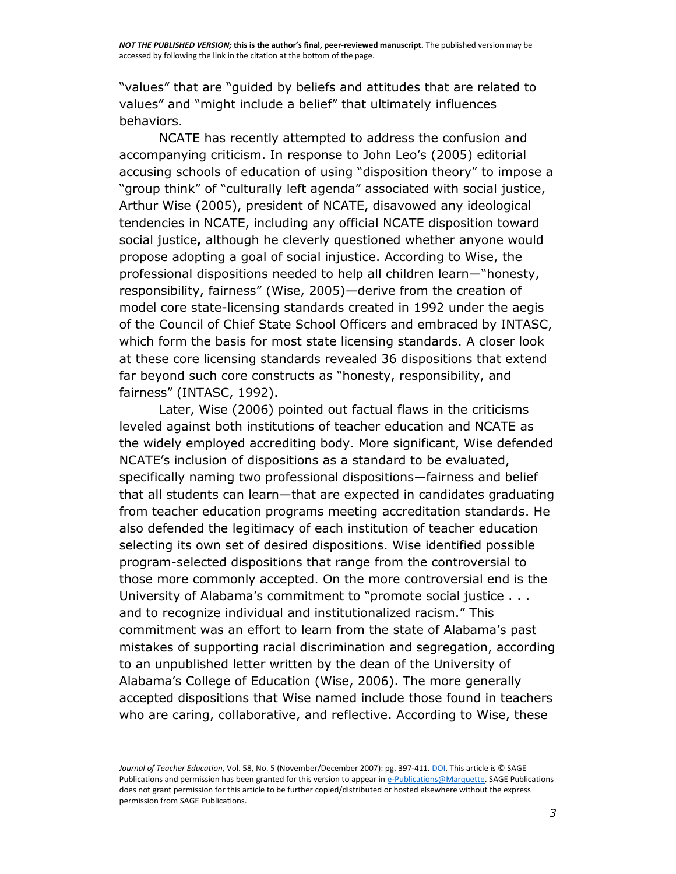"values" that are "guided by beliefs and attitudes that are related to values" and "might include a belief" that ultimately influences behaviors.

NCATE has recently attempted to address the confusion and accompanying criticism. In response to John Leo's (2005) editorial accusing schools of education of using "disposition theory" to impose a "group think" of "culturally left agenda" associated with social justice, Arthur Wise (2005), president of NCATE, disavowed any ideological tendencies in NCATE, including any official NCATE disposition toward social justice**,** although he cleverly questioned whether anyone would propose adopting a goal of social injustice. According to Wise, the professional dispositions needed to help all children learn—"honesty, responsibility, fairness" (Wise, 2005)—derive from the creation of model core state-licensing standards created in 1992 under the aegis of the Council of Chief State School Officers and embraced by INTASC, which form the basis for most state licensing standards. A closer look at these core licensing standards revealed 36 dispositions that extend far beyond such core constructs as "honesty, responsibility, and fairness" (INTASC, 1992).

Later, Wise (2006) pointed out factual flaws in the criticisms leveled against both institutions of teacher education and NCATE as the widely employed accrediting body. More significant, Wise defended NCATE's inclusion of dispositions as a standard to be evaluated, specifically naming two professional dispositions—fairness and belief that all students can learn—that are expected in candidates graduating from teacher education programs meeting accreditation standards. He also defended the legitimacy of each institution of teacher education selecting its own set of desired dispositions. Wise identified possible program-selected dispositions that range from the controversial to those more commonly accepted. On the more controversial end is the University of Alabama's commitment to "promote social justice . . . and to recognize individual and institutionalized racism." This commitment was an effort to learn from the state of Alabama's past mistakes of supporting racial discrimination and segregation, according to an unpublished letter written by the dean of the University of Alabama's College of Education (Wise, 2006). The more generally accepted dispositions that Wise named include those found in teachers who are caring, collaborative, and reflective. According to Wise, these

*Journal of Teacher Education*, Vol. 58, No. 5 (November/December 2007): pg. 397-411[. DOI.](http://dx.doi.org/10.1177/0022487107307949) This article is © SAGE Publications and permission has been granted for this version to appear i[n e-Publications@Marquette.](http://epublications.marquette.edu/) SAGE Publications does not grant permission for this article to be further copied/distributed or hosted elsewhere without the express permission from SAGE Publications.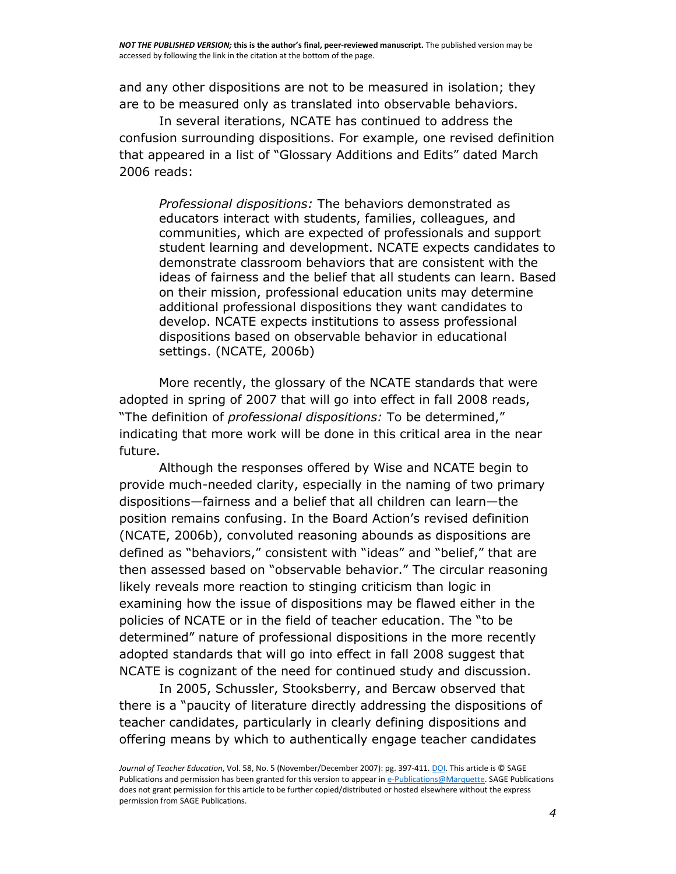and any other dispositions are not to be measured in isolation; they are to be measured only as translated into observable behaviors.

In several iterations, NCATE has continued to address the confusion surrounding dispositions. For example, one revised definition that appeared in a list of "Glossary Additions and Edits" dated March 2006 reads:

*Professional dispositions:* The behaviors demonstrated as educators interact with students, families, colleagues, and communities, which are expected of professionals and support student learning and development. NCATE expects candidates to demonstrate classroom behaviors that are consistent with the ideas of fairness and the belief that all students can learn. Based on their mission, professional education units may determine additional professional dispositions they want candidates to develop. NCATE expects institutions to assess professional dispositions based on observable behavior in educational settings. (NCATE, 2006b)

More recently, the glossary of the NCATE standards that were adopted in spring of 2007 that will go into effect in fall 2008 reads, "The definition of *professional dispositions:* To be determined," indicating that more work will be done in this critical area in the near future.

Although the responses offered by Wise and NCATE begin to provide much-needed clarity, especially in the naming of two primary dispositions—fairness and a belief that all children can learn—the position remains confusing. In the Board Action's revised definition (NCATE, 2006b), convoluted reasoning abounds as dispositions are defined as "behaviors," consistent with "ideas" and "belief," that are then assessed based on "observable behavior." The circular reasoning likely reveals more reaction to stinging criticism than logic in examining how the issue of dispositions may be flawed either in the policies of NCATE or in the field of teacher education. The "to be determined" nature of professional dispositions in the more recently adopted standards that will go into effect in fall 2008 suggest that NCATE is cognizant of the need for continued study and discussion.

In 2005, Schussler, Stooksberry, and Bercaw observed that there is a "paucity of literature directly addressing the dispositions of teacher candidates, particularly in clearly defining dispositions and offering means by which to authentically engage teacher candidates

*Journal of Teacher Education*, Vol. 58, No. 5 (November/December 2007): pg. 397-411[. DOI.](http://dx.doi.org/10.1177/0022487107307949) This article is © SAGE Publications and permission has been granted for this version to appear i[n e-Publications@Marquette.](http://epublications.marquette.edu/) SAGE Publications does not grant permission for this article to be further copied/distributed or hosted elsewhere without the express permission from SAGE Publications.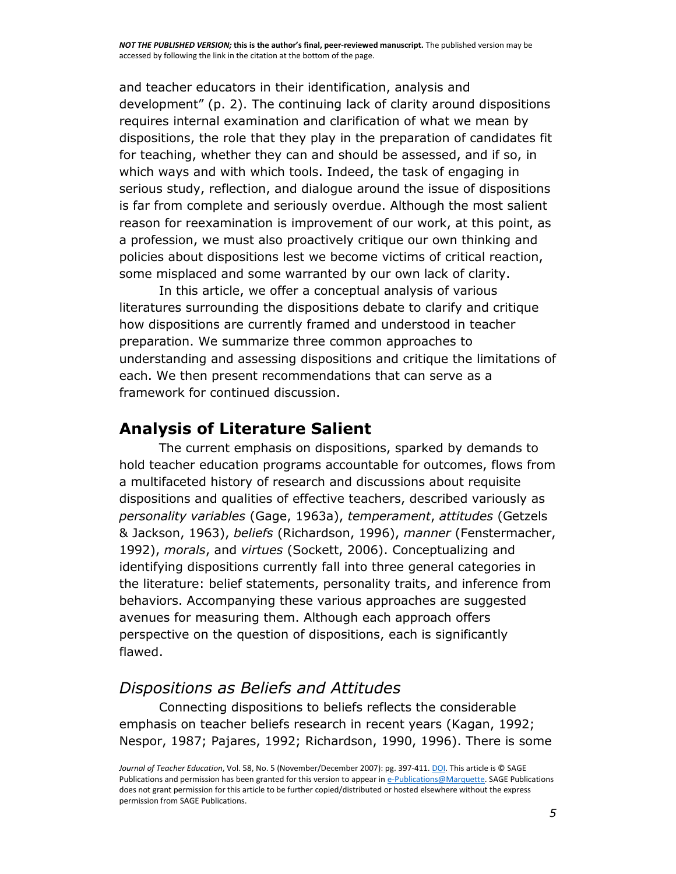and teacher educators in their identification, analysis and development" (p. 2). The continuing lack of clarity around dispositions requires internal examination and clarification of what we mean by dispositions, the role that they play in the preparation of candidates fit for teaching, whether they can and should be assessed, and if so, in which ways and with which tools. Indeed, the task of engaging in serious study, reflection, and dialogue around the issue of dispositions is far from complete and seriously overdue. Although the most salient reason for reexamination is improvement of our work, at this point, as a profession, we must also proactively critique our own thinking and policies about dispositions lest we become victims of critical reaction, some misplaced and some warranted by our own lack of clarity.

In this article, we offer a conceptual analysis of various literatures surrounding the dispositions debate to clarify and critique how dispositions are currently framed and understood in teacher preparation. We summarize three common approaches to understanding and assessing dispositions and critique the limitations of each. We then present recommendations that can serve as a framework for continued discussion.

## **Analysis of Literature Salient**

The current emphasis on dispositions, sparked by demands to hold teacher education programs accountable for outcomes, flows from a multifaceted history of research and discussions about requisite dispositions and qualities of effective teachers, described variously as *personality variables* (Gage, 1963a), *temperament*, *attitudes* (Getzels & Jackson, 1963), *beliefs* (Richardson, 1996), *manner* (Fenstermacher, 1992), *morals*, and *virtues* (Sockett, 2006). Conceptualizing and identifying dispositions currently fall into three general categories in the literature: belief statements, personality traits, and inference from behaviors. Accompanying these various approaches are suggested avenues for measuring them. Although each approach offers perspective on the question of dispositions, each is significantly flawed.

# *Dispositions as Beliefs and Attitudes*

Connecting dispositions to beliefs reflects the considerable emphasis on teacher beliefs research in recent years (Kagan, 1992; Nespor, 1987; Pajares, 1992; Richardson, 1990, 1996). There is some

*Journal of Teacher Education*, Vol. 58, No. 5 (November/December 2007): pg. 397-411[. DOI.](http://dx.doi.org/10.1177/0022487107307949) This article is © SAGE Publications and permission has been granted for this version to appear i[n e-Publications@Marquette.](http://epublications.marquette.edu/) SAGE Publications does not grant permission for this article to be further copied/distributed or hosted elsewhere without the express permission from SAGE Publications.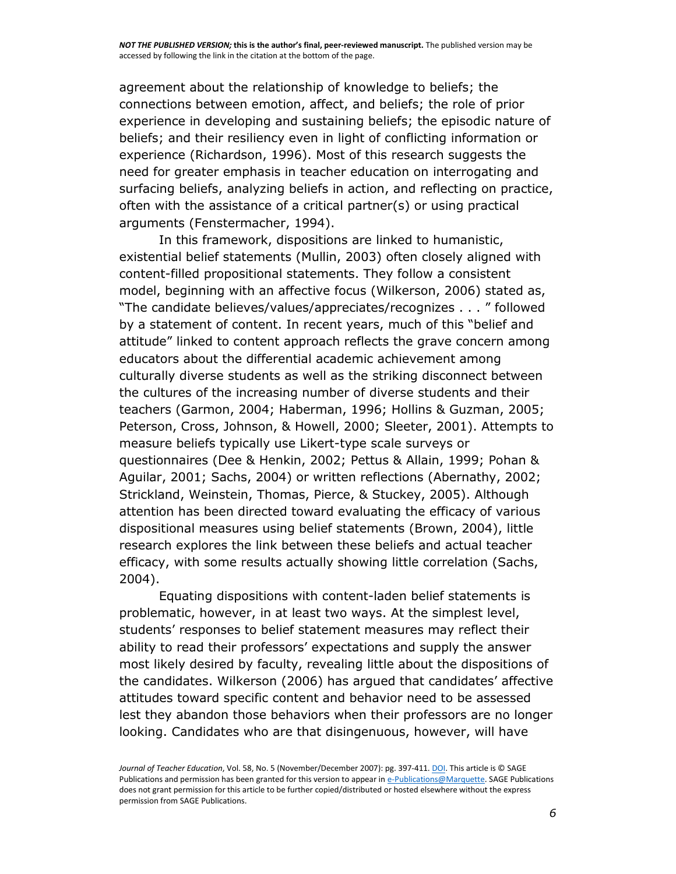agreement about the relationship of knowledge to beliefs; the connections between emotion, affect, and beliefs; the role of prior experience in developing and sustaining beliefs; the episodic nature of beliefs; and their resiliency even in light of conflicting information or experience (Richardson, 1996). Most of this research suggests the need for greater emphasis in teacher education on interrogating and surfacing beliefs, analyzing beliefs in action, and reflecting on practice, often with the assistance of a critical partner(s) or using practical arguments (Fenstermacher, 1994).

In this framework, dispositions are linked to humanistic, existential belief statements (Mullin, 2003) often closely aligned with content-filled propositional statements. They follow a consistent model, beginning with an affective focus (Wilkerson, 2006) stated as, "The candidate believes/values/appreciates/recognizes . . . " followed by a statement of content. In recent years, much of this "belief and attitude" linked to content approach reflects the grave concern among educators about the differential academic achievement among culturally diverse students as well as the striking disconnect between the cultures of the increasing number of diverse students and their teachers (Garmon, 2004; Haberman, 1996; Hollins & Guzman, 2005; Peterson, Cross, Johnson, & Howell, 2000; Sleeter, 2001). Attempts to measure beliefs typically use Likert-type scale surveys or questionnaires (Dee & Henkin, 2002; Pettus & Allain, 1999; Pohan & Aguilar, 2001; Sachs, 2004) or written reflections (Abernathy, 2002; Strickland, Weinstein, Thomas, Pierce, & Stuckey, 2005). Although attention has been directed toward evaluating the efficacy of various dispositional measures using belief statements (Brown, 2004), little research explores the link between these beliefs and actual teacher efficacy, with some results actually showing little correlation (Sachs, 2004).

Equating dispositions with content-laden belief statements is problematic, however, in at least two ways. At the simplest level, students' responses to belief statement measures may reflect their ability to read their professors' expectations and supply the answer most likely desired by faculty, revealing little about the dispositions of the candidates. Wilkerson (2006) has argued that candidates' affective attitudes toward specific content and behavior need to be assessed lest they abandon those behaviors when their professors are no longer looking. Candidates who are that disingenuous, however, will have

*Journal of Teacher Education*, Vol. 58, No. 5 (November/December 2007): pg. 397-411[. DOI.](http://dx.doi.org/10.1177/0022487107307949) This article is © SAGE Publications and permission has been granted for this version to appear i[n e-Publications@Marquette.](http://epublications.marquette.edu/) SAGE Publications does not grant permission for this article to be further copied/distributed or hosted elsewhere without the express permission from SAGE Publications.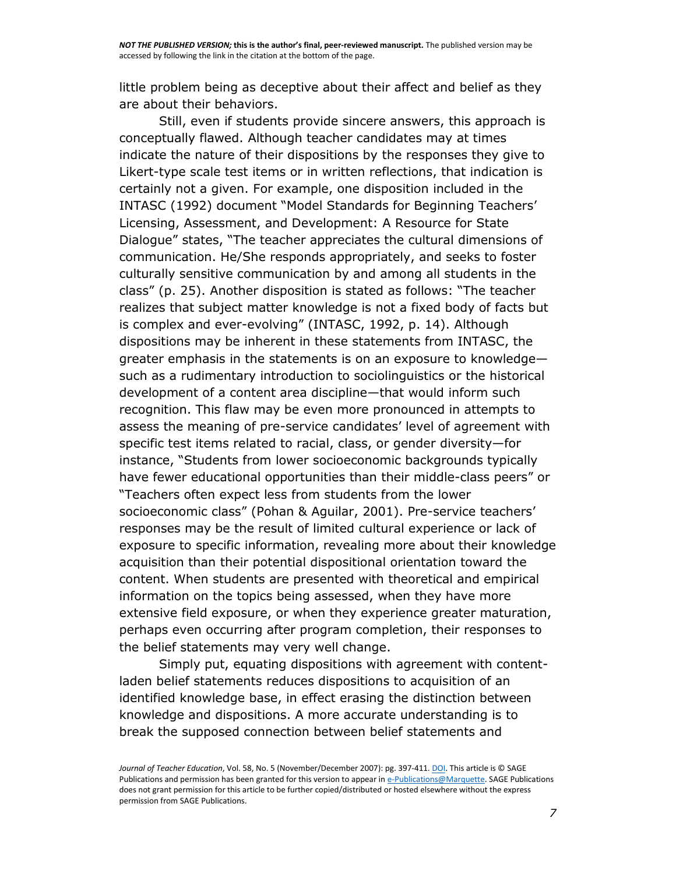little problem being as deceptive about their affect and belief as they are about their behaviors.

Still, even if students provide sincere answers, this approach is conceptually flawed. Although teacher candidates may at times indicate the nature of their dispositions by the responses they give to Likert-type scale test items or in written reflections, that indication is certainly not a given. For example, one disposition included in the INTASC (1992) document "Model Standards for Beginning Teachers' Licensing, Assessment, and Development: A Resource for State Dialogue" states, "The teacher appreciates the cultural dimensions of communication. He/She responds appropriately, and seeks to foster culturally sensitive communication by and among all students in the class" (p. 25). Another disposition is stated as follows: "The teacher realizes that subject matter knowledge is not a fixed body of facts but is complex and ever-evolving" (INTASC, 1992, p. 14). Although dispositions may be inherent in these statements from INTASC, the greater emphasis in the statements is on an exposure to knowledge such as a rudimentary introduction to sociolinguistics or the historical development of a content area discipline—that would inform such recognition. This flaw may be even more pronounced in attempts to assess the meaning of pre-service candidates' level of agreement with specific test items related to racial, class, or gender diversity—for instance, "Students from lower socioeconomic backgrounds typically have fewer educational opportunities than their middle-class peers" or "Teachers often expect less from students from the lower socioeconomic class" (Pohan & Aguilar, 2001). Pre-service teachers' responses may be the result of limited cultural experience or lack of exposure to specific information, revealing more about their knowledge acquisition than their potential dispositional orientation toward the content. When students are presented with theoretical and empirical information on the topics being assessed, when they have more extensive field exposure, or when they experience greater maturation, perhaps even occurring after program completion, their responses to the belief statements may very well change.

Simply put, equating dispositions with agreement with contentladen belief statements reduces dispositions to acquisition of an identified knowledge base, in effect erasing the distinction between knowledge and dispositions. A more accurate understanding is to break the supposed connection between belief statements and

*Journal of Teacher Education*, Vol. 58, No. 5 (November/December 2007): pg. 397-411[. DOI.](http://dx.doi.org/10.1177/0022487107307949) This article is © SAGE Publications and permission has been granted for this version to appear i[n e-Publications@Marquette.](http://epublications.marquette.edu/) SAGE Publications does not grant permission for this article to be further copied/distributed or hosted elsewhere without the express permission from SAGE Publications.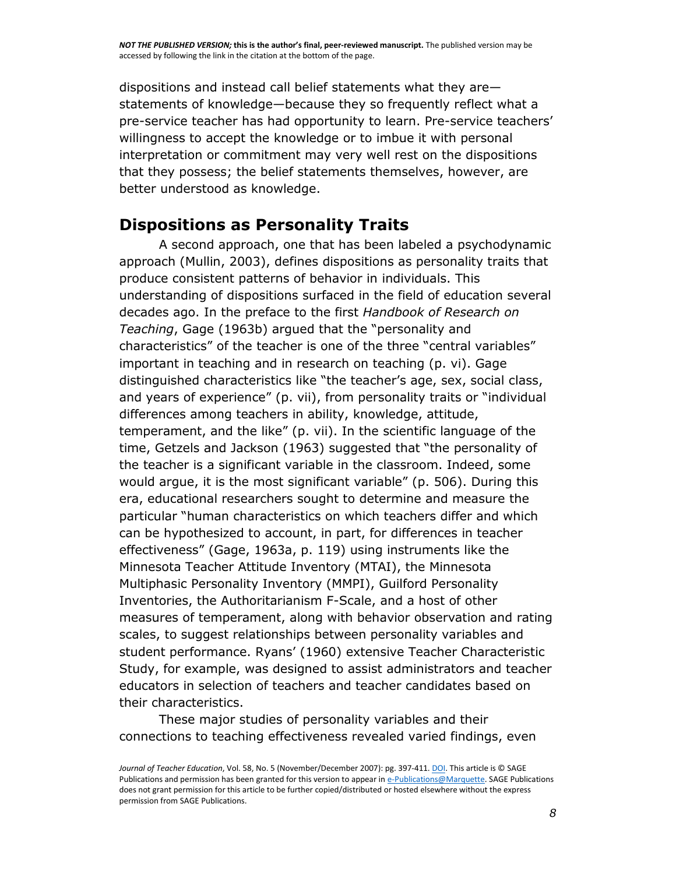dispositions and instead call belief statements what they are statements of knowledge—because they so frequently reflect what a pre-service teacher has had opportunity to learn. Pre-service teachers' willingness to accept the knowledge or to imbue it with personal interpretation or commitment may very well rest on the dispositions that they possess; the belief statements themselves, however, are better understood as knowledge.

## **Dispositions as Personality Traits**

A second approach, one that has been labeled a psychodynamic approach (Mullin, 2003), defines dispositions as personality traits that produce consistent patterns of behavior in individuals. This understanding of dispositions surfaced in the field of education several decades ago. In the preface to the first *Handbook of Research on Teaching*, Gage (1963b) argued that the "personality and characteristics" of the teacher is one of the three "central variables" important in teaching and in research on teaching (p. vi). Gage distinguished characteristics like "the teacher's age, sex, social class, and years of experience" (p. vii), from personality traits or "individual differences among teachers in ability, knowledge, attitude, temperament, and the like" (p. vii). In the scientific language of the time, Getzels and Jackson (1963) suggested that "the personality of the teacher is a significant variable in the classroom. Indeed, some would argue, it is the most significant variable" (p. 506). During this era, educational researchers sought to determine and measure the particular "human characteristics on which teachers differ and which can be hypothesized to account, in part, for differences in teacher effectiveness" (Gage, 1963a, p. 119) using instruments like the Minnesota Teacher Attitude Inventory (MTAI), the Minnesota Multiphasic Personality Inventory (MMPI), Guilford Personality Inventories, the Authoritarianism F-Scale, and a host of other measures of temperament, along with behavior observation and rating scales, to suggest relationships between personality variables and student performance. Ryans' (1960) extensive Teacher Characteristic Study, for example, was designed to assist administrators and teacher educators in selection of teachers and teacher candidates based on their characteristics.

These major studies of personality variables and their connections to teaching effectiveness revealed varied findings, even

*Journal of Teacher Education*, Vol. 58, No. 5 (November/December 2007): pg. 397-411[. DOI.](http://dx.doi.org/10.1177/0022487107307949) This article is © SAGE Publications and permission has been granted for this version to appear i[n e-Publications@Marquette.](http://epublications.marquette.edu/) SAGE Publications does not grant permission for this article to be further copied/distributed or hosted elsewhere without the express permission from SAGE Publications.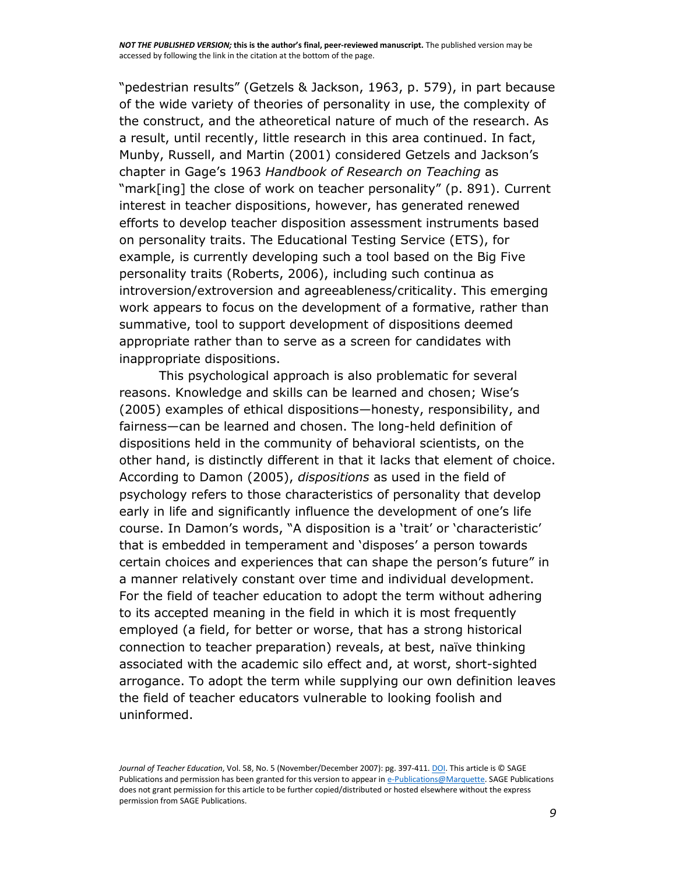"pedestrian results" (Getzels & Jackson, 1963, p. 579), in part because of the wide variety of theories of personality in use, the complexity of the construct, and the atheoretical nature of much of the research. As a result, until recently, little research in this area continued. In fact, Munby, Russell, and Martin (2001) considered Getzels and Jackson's chapter in Gage's 1963 *Handbook of Research on Teaching* as "mark[ing] the close of work on teacher personality" (p. 891). Current interest in teacher dispositions, however, has generated renewed efforts to develop teacher disposition assessment instruments based on personality traits. The Educational Testing Service (ETS), for example, is currently developing such a tool based on the Big Five personality traits (Roberts, 2006), including such continua as introversion/extroversion and agreeableness/criticality. This emerging work appears to focus on the development of a formative, rather than summative, tool to support development of dispositions deemed appropriate rather than to serve as a screen for candidates with inappropriate dispositions.

This psychological approach is also problematic for several reasons. Knowledge and skills can be learned and chosen; Wise's (2005) examples of ethical dispositions—honesty, responsibility, and fairness—can be learned and chosen. The long-held definition of dispositions held in the community of behavioral scientists, on the other hand, is distinctly different in that it lacks that element of choice. According to Damon (2005), *dispositions* as used in the field of psychology refers to those characteristics of personality that develop early in life and significantly influence the development of one's life course. In Damon's words, "A disposition is a 'trait' or 'characteristic' that is embedded in temperament and 'disposes' a person towards certain choices and experiences that can shape the person's future" in a manner relatively constant over time and individual development. For the field of teacher education to adopt the term without adhering to its accepted meaning in the field in which it is most frequently employed (a field, for better or worse, that has a strong historical connection to teacher preparation) reveals, at best, naïve thinking associated with the academic silo effect and, at worst, short-sighted arrogance. To adopt the term while supplying our own definition leaves the field of teacher educators vulnerable to looking foolish and uninformed.

*Journal of Teacher Education*, Vol. 58, No. 5 (November/December 2007): pg. 397-411[. DOI.](http://dx.doi.org/10.1177/0022487107307949) This article is © SAGE Publications and permission has been granted for this version to appear i[n e-Publications@Marquette.](http://epublications.marquette.edu/) SAGE Publications does not grant permission for this article to be further copied/distributed or hosted elsewhere without the express permission from SAGE Publications.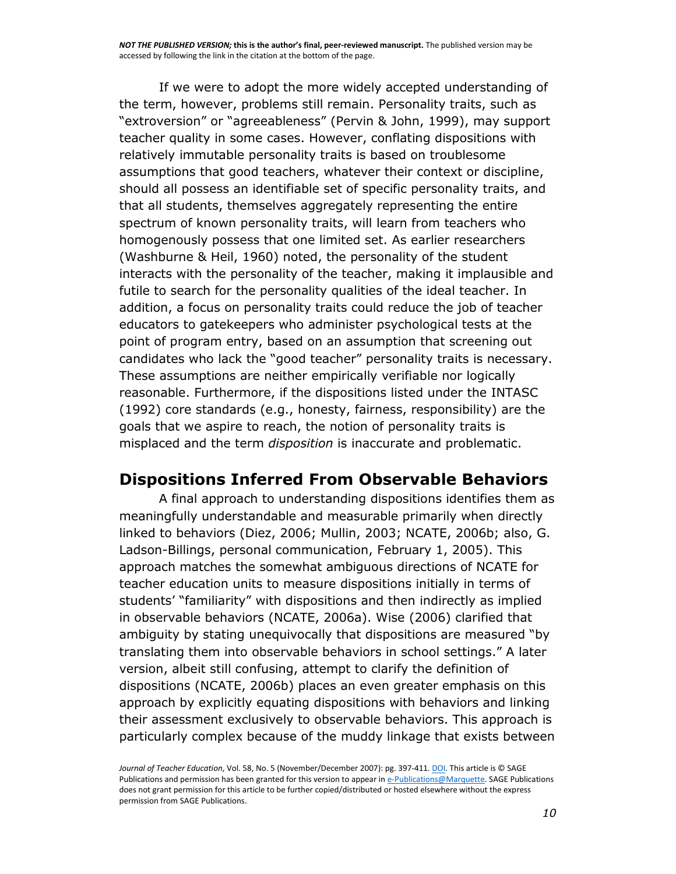If we were to adopt the more widely accepted understanding of the term, however, problems still remain. Personality traits, such as "extroversion" or "agreeableness" (Pervin & John, 1999), may support teacher quality in some cases. However, conflating dispositions with relatively immutable personality traits is based on troublesome assumptions that good teachers, whatever their context or discipline, should all possess an identifiable set of specific personality traits, and that all students, themselves aggregately representing the entire spectrum of known personality traits, will learn from teachers who homogenously possess that one limited set. As earlier researchers (Washburne & Heil, 1960) noted, the personality of the student interacts with the personality of the teacher, making it implausible and futile to search for the personality qualities of the ideal teacher. In addition, a focus on personality traits could reduce the job of teacher educators to gatekeepers who administer psychological tests at the point of program entry, based on an assumption that screening out candidates who lack the "good teacher" personality traits is necessary. These assumptions are neither empirically verifiable nor logically reasonable. Furthermore, if the dispositions listed under the INTASC (1992) core standards (e.g., honesty, fairness, responsibility) are the goals that we aspire to reach, the notion of personality traits is misplaced and the term *disposition* is inaccurate and problematic.

## **Dispositions Inferred From Observable Behaviors**

A final approach to understanding dispositions identifies them as meaningfully understandable and measurable primarily when directly linked to behaviors (Diez, 2006; Mullin, 2003; NCATE, 2006b; also, G. Ladson-Billings, personal communication, February 1, 2005). This approach matches the somewhat ambiguous directions of NCATE for teacher education units to measure dispositions initially in terms of students' "familiarity" with dispositions and then indirectly as implied in observable behaviors (NCATE, 2006a). Wise (2006) clarified that ambiguity by stating unequivocally that dispositions are measured "by translating them into observable behaviors in school settings." A later version, albeit still confusing, attempt to clarify the definition of dispositions (NCATE, 2006b) places an even greater emphasis on this approach by explicitly equating dispositions with behaviors and linking their assessment exclusively to observable behaviors. This approach is particularly complex because of the muddy linkage that exists between

*Journal of Teacher Education*, Vol. 58, No. 5 (November/December 2007): pg. 397-411[. DOI.](http://dx.doi.org/10.1177/0022487107307949) This article is © SAGE Publications and permission has been granted for this version to appear i[n e-Publications@Marquette.](http://epublications.marquette.edu/) SAGE Publications does not grant permission for this article to be further copied/distributed or hosted elsewhere without the express permission from SAGE Publications.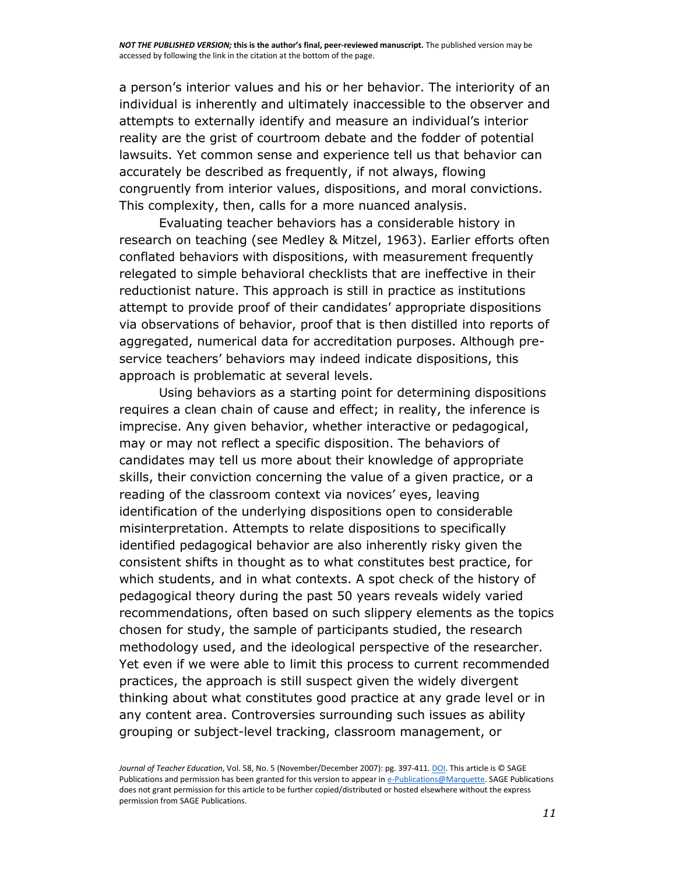a person's interior values and his or her behavior. The interiority of an individual is inherently and ultimately inaccessible to the observer and attempts to externally identify and measure an individual's interior reality are the grist of courtroom debate and the fodder of potential lawsuits. Yet common sense and experience tell us that behavior can accurately be described as frequently, if not always, flowing congruently from interior values, dispositions, and moral convictions. This complexity, then, calls for a more nuanced analysis.

Evaluating teacher behaviors has a considerable history in research on teaching (see Medley & Mitzel, 1963). Earlier efforts often conflated behaviors with dispositions, with measurement frequently relegated to simple behavioral checklists that are ineffective in their reductionist nature. This approach is still in practice as institutions attempt to provide proof of their candidates' appropriate dispositions via observations of behavior, proof that is then distilled into reports of aggregated, numerical data for accreditation purposes. Although preservice teachers' behaviors may indeed indicate dispositions, this approach is problematic at several levels.

Using behaviors as a starting point for determining dispositions requires a clean chain of cause and effect; in reality, the inference is imprecise. Any given behavior, whether interactive or pedagogical, may or may not reflect a specific disposition. The behaviors of candidates may tell us more about their knowledge of appropriate skills, their conviction concerning the value of a given practice, or a reading of the classroom context via novices' eyes, leaving identification of the underlying dispositions open to considerable misinterpretation. Attempts to relate dispositions to specifically identified pedagogical behavior are also inherently risky given the consistent shifts in thought as to what constitutes best practice, for which students, and in what contexts. A spot check of the history of pedagogical theory during the past 50 years reveals widely varied recommendations, often based on such slippery elements as the topics chosen for study, the sample of participants studied, the research methodology used, and the ideological perspective of the researcher. Yet even if we were able to limit this process to current recommended practices, the approach is still suspect given the widely divergent thinking about what constitutes good practice at any grade level or in any content area. Controversies surrounding such issues as ability grouping or subject-level tracking, classroom management, or

*Journal of Teacher Education*, Vol. 58, No. 5 (November/December 2007): pg. 397-411[. DOI.](http://dx.doi.org/10.1177/0022487107307949) This article is © SAGE Publications and permission has been granted for this version to appear i[n e-Publications@Marquette.](http://epublications.marquette.edu/) SAGE Publications does not grant permission for this article to be further copied/distributed or hosted elsewhere without the express permission from SAGE Publications.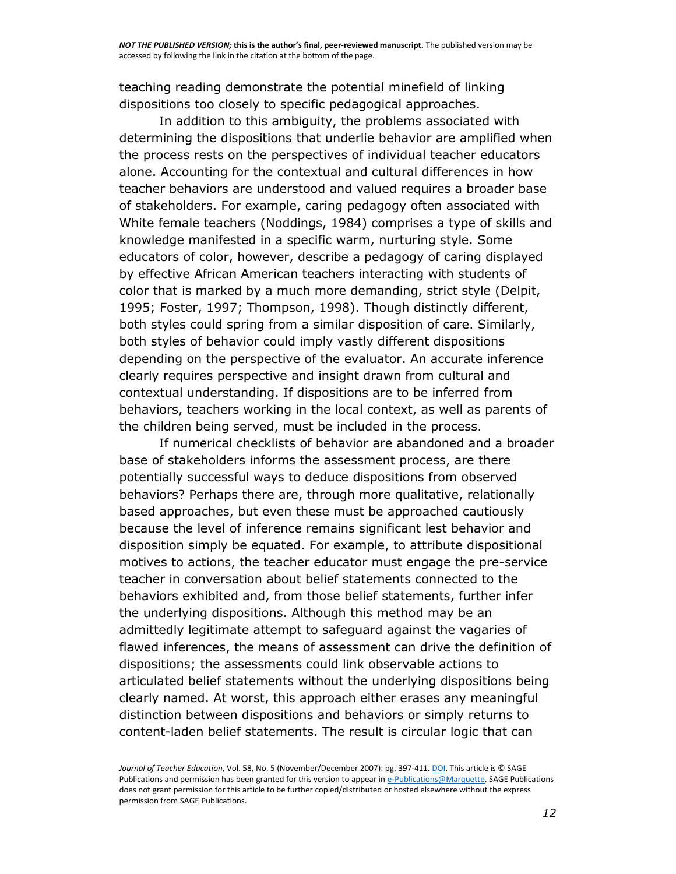teaching reading demonstrate the potential minefield of linking dispositions too closely to specific pedagogical approaches.

In addition to this ambiguity, the problems associated with determining the dispositions that underlie behavior are amplified when the process rests on the perspectives of individual teacher educators alone. Accounting for the contextual and cultural differences in how teacher behaviors are understood and valued requires a broader base of stakeholders. For example, caring pedagogy often associated with White female teachers (Noddings, 1984) comprises a type of skills and knowledge manifested in a specific warm, nurturing style. Some educators of color, however, describe a pedagogy of caring displayed by effective African American teachers interacting with students of color that is marked by a much more demanding, strict style (Delpit, 1995; Foster, 1997; Thompson, 1998). Though distinctly different, both styles could spring from a similar disposition of care. Similarly, both styles of behavior could imply vastly different dispositions depending on the perspective of the evaluator. An accurate inference clearly requires perspective and insight drawn from cultural and contextual understanding. If dispositions are to be inferred from behaviors, teachers working in the local context, as well as parents of the children being served, must be included in the process.

If numerical checklists of behavior are abandoned and a broader base of stakeholders informs the assessment process, are there potentially successful ways to deduce dispositions from observed behaviors? Perhaps there are, through more qualitative, relationally based approaches, but even these must be approached cautiously because the level of inference remains significant lest behavior and disposition simply be equated. For example, to attribute dispositional motives to actions, the teacher educator must engage the pre-service teacher in conversation about belief statements connected to the behaviors exhibited and, from those belief statements, further infer the underlying dispositions. Although this method may be an admittedly legitimate attempt to safeguard against the vagaries of flawed inferences, the means of assessment can drive the definition of dispositions; the assessments could link observable actions to articulated belief statements without the underlying dispositions being clearly named. At worst, this approach either erases any meaningful distinction between dispositions and behaviors or simply returns to content-laden belief statements. The result is circular logic that can

*Journal of Teacher Education*, Vol. 58, No. 5 (November/December 2007): pg. 397-411[. DOI.](http://dx.doi.org/10.1177/0022487107307949) This article is © SAGE Publications and permission has been granted for this version to appear i[n e-Publications@Marquette.](http://epublications.marquette.edu/) SAGE Publications does not grant permission for this article to be further copied/distributed or hosted elsewhere without the express permission from SAGE Publications.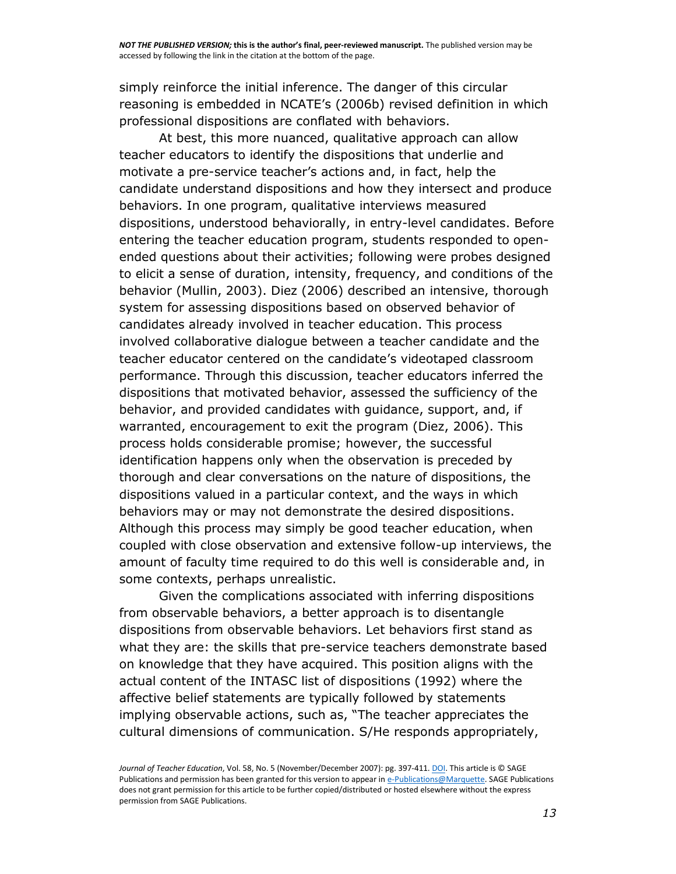simply reinforce the initial inference. The danger of this circular reasoning is embedded in NCATE's (2006b) revised definition in which professional dispositions are conflated with behaviors.

At best, this more nuanced, qualitative approach can allow teacher educators to identify the dispositions that underlie and motivate a pre-service teacher's actions and, in fact, help the candidate understand dispositions and how they intersect and produce behaviors. In one program, qualitative interviews measured dispositions, understood behaviorally, in entry-level candidates. Before entering the teacher education program, students responded to openended questions about their activities; following were probes designed to elicit a sense of duration, intensity, frequency, and conditions of the behavior (Mullin, 2003). Diez (2006) described an intensive, thorough system for assessing dispositions based on observed behavior of candidates already involved in teacher education. This process involved collaborative dialogue between a teacher candidate and the teacher educator centered on the candidate's videotaped classroom performance. Through this discussion, teacher educators inferred the dispositions that motivated behavior, assessed the sufficiency of the behavior, and provided candidates with guidance, support, and, if warranted, encouragement to exit the program (Diez, 2006). This process holds considerable promise; however, the successful identification happens only when the observation is preceded by thorough and clear conversations on the nature of dispositions, the dispositions valued in a particular context, and the ways in which behaviors may or may not demonstrate the desired dispositions. Although this process may simply be good teacher education, when coupled with close observation and extensive follow-up interviews, the amount of faculty time required to do this well is considerable and, in some contexts, perhaps unrealistic.

Given the complications associated with inferring dispositions from observable behaviors, a better approach is to disentangle dispositions from observable behaviors. Let behaviors first stand as what they are: the skills that pre-service teachers demonstrate based on knowledge that they have acquired. This position aligns with the actual content of the INTASC list of dispositions (1992) where the affective belief statements are typically followed by statements implying observable actions, such as, "The teacher appreciates the cultural dimensions of communication. S/He responds appropriately,

Journal of Teacher Education, Vol. 58, No. 5 (November/December 2007): pg. 397-411. **DOI.** This article is © SAGE Publications and permission has been granted for this version to appear i[n e-Publications@Marquette.](http://epublications.marquette.edu/) SAGE Publications does not grant permission for this article to be further copied/distributed or hosted elsewhere without the express permission from SAGE Publications.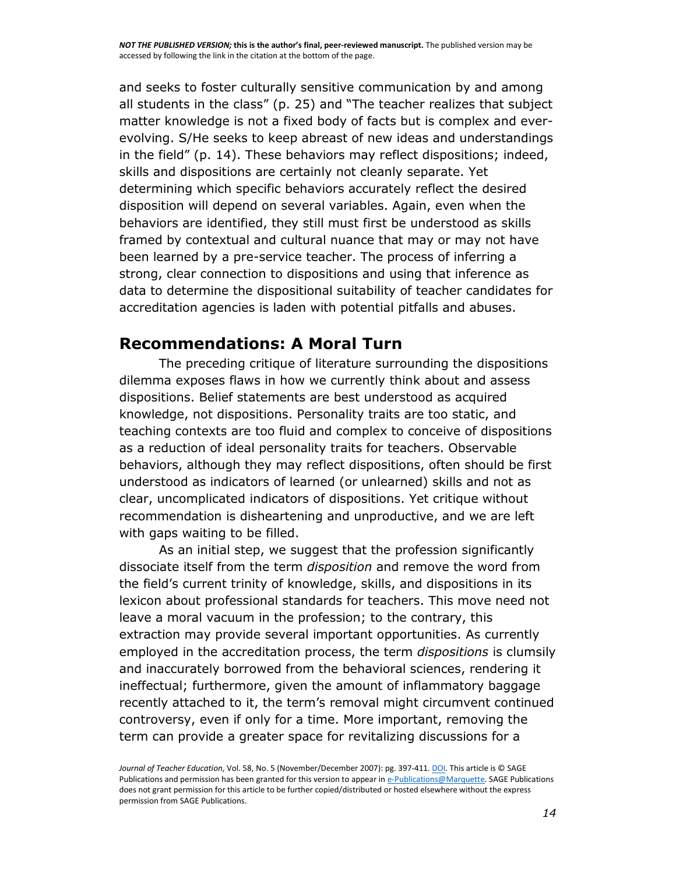and seeks to foster culturally sensitive communication by and among all students in the class" (p. 25) and "The teacher realizes that subject matter knowledge is not a fixed body of facts but is complex and everevolving. S/He seeks to keep abreast of new ideas and understandings in the field" (p. 14). These behaviors may reflect dispositions; indeed, skills and dispositions are certainly not cleanly separate. Yet determining which specific behaviors accurately reflect the desired disposition will depend on several variables. Again, even when the behaviors are identified, they still must first be understood as skills framed by contextual and cultural nuance that may or may not have been learned by a pre-service teacher. The process of inferring a strong, clear connection to dispositions and using that inference as data to determine the dispositional suitability of teacher candidates for accreditation agencies is laden with potential pitfalls and abuses.

#### **Recommendations: A Moral Turn**

The preceding critique of literature surrounding the dispositions dilemma exposes flaws in how we currently think about and assess dispositions. Belief statements are best understood as acquired knowledge, not dispositions. Personality traits are too static, and teaching contexts are too fluid and complex to conceive of dispositions as a reduction of ideal personality traits for teachers. Observable behaviors, although they may reflect dispositions, often should be first understood as indicators of learned (or unlearned) skills and not as clear, uncomplicated indicators of dispositions. Yet critique without recommendation is disheartening and unproductive, and we are left with gaps waiting to be filled.

As an initial step, we suggest that the profession significantly dissociate itself from the term *disposition* and remove the word from the field's current trinity of knowledge, skills, and dispositions in its lexicon about professional standards for teachers. This move need not leave a moral vacuum in the profession; to the contrary, this extraction may provide several important opportunities. As currently employed in the accreditation process, the term *dispositions* is clumsily and inaccurately borrowed from the behavioral sciences, rendering it ineffectual; furthermore, given the amount of inflammatory baggage recently attached to it, the term's removal might circumvent continued controversy, even if only for a time. More important, removing the term can provide a greater space for revitalizing discussions for a

Journal of Teacher Education, Vol. 58, No. 5 (November/December 2007): pg. 397-411. **DOI.** This article is © SAGE Publications and permission has been granted for this version to appear i[n e-Publications@Marquette.](http://epublications.marquette.edu/) SAGE Publications does not grant permission for this article to be further copied/distributed or hosted elsewhere without the express permission from SAGE Publications.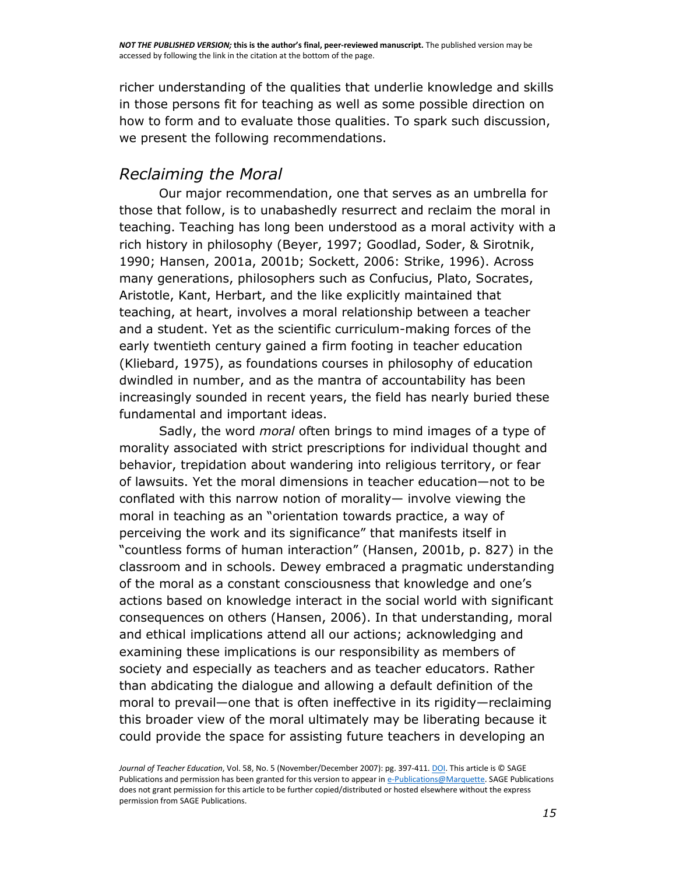richer understanding of the qualities that underlie knowledge and skills in those persons fit for teaching as well as some possible direction on how to form and to evaluate those qualities. To spark such discussion, we present the following recommendations.

## *Reclaiming the Moral*

Our major recommendation, one that serves as an umbrella for those that follow, is to unabashedly resurrect and reclaim the moral in teaching. Teaching has long been understood as a moral activity with a rich history in philosophy (Beyer, 1997; Goodlad, Soder, & Sirotnik, 1990; Hansen, 2001a, 2001b; Sockett, 2006: Strike, 1996). Across many generations, philosophers such as Confucius, Plato, Socrates, Aristotle, Kant, Herbart, and the like explicitly maintained that teaching, at heart, involves a moral relationship between a teacher and a student. Yet as the scientific curriculum-making forces of the early twentieth century gained a firm footing in teacher education (Kliebard, 1975), as foundations courses in philosophy of education dwindled in number, and as the mantra of accountability has been increasingly sounded in recent years, the field has nearly buried these fundamental and important ideas.

Sadly, the word *moral* often brings to mind images of a type of morality associated with strict prescriptions for individual thought and behavior, trepidation about wandering into religious territory, or fear of lawsuits. Yet the moral dimensions in teacher education—not to be conflated with this narrow notion of morality— involve viewing the moral in teaching as an "orientation towards practice, a way of perceiving the work and its significance" that manifests itself in "countless forms of human interaction" (Hansen, 2001b, p. 827) in the classroom and in schools. Dewey embraced a pragmatic understanding of the moral as a constant consciousness that knowledge and one's actions based on knowledge interact in the social world with significant consequences on others (Hansen, 2006). In that understanding, moral and ethical implications attend all our actions; acknowledging and examining these implications is our responsibility as members of society and especially as teachers and as teacher educators. Rather than abdicating the dialogue and allowing a default definition of the moral to prevail—one that is often ineffective in its rigidity—reclaiming this broader view of the moral ultimately may be liberating because it could provide the space for assisting future teachers in developing an

*Journal of Teacher Education*, Vol. 58, No. 5 (November/December 2007): pg. 397-411[. DOI.](http://dx.doi.org/10.1177/0022487107307949) This article is © SAGE Publications and permission has been granted for this version to appear i[n e-Publications@Marquette.](http://epublications.marquette.edu/) SAGE Publications does not grant permission for this article to be further copied/distributed or hosted elsewhere without the express permission from SAGE Publications.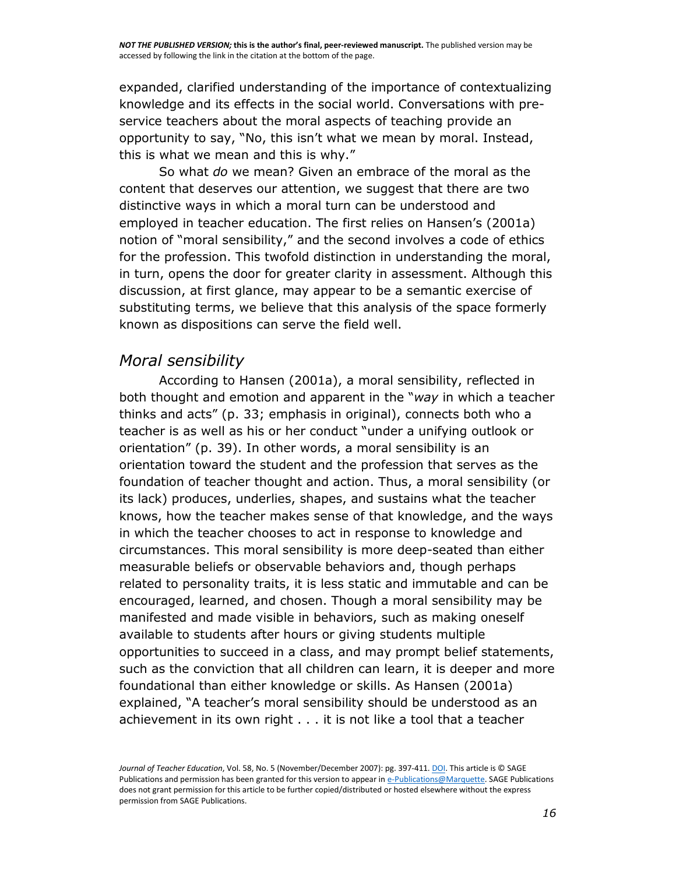expanded, clarified understanding of the importance of contextualizing knowledge and its effects in the social world. Conversations with preservice teachers about the moral aspects of teaching provide an opportunity to say, "No, this isn't what we mean by moral. Instead, this is what we mean and this is why."

So what *do* we mean? Given an embrace of the moral as the content that deserves our attention, we suggest that there are two distinctive ways in which a moral turn can be understood and employed in teacher education. The first relies on Hansen's (2001a) notion of "moral sensibility," and the second involves a code of ethics for the profession. This twofold distinction in understanding the moral, in turn, opens the door for greater clarity in assessment. Although this discussion, at first glance, may appear to be a semantic exercise of substituting terms, we believe that this analysis of the space formerly known as dispositions can serve the field well.

#### *Moral sensibility*

According to Hansen (2001a), a moral sensibility, reflected in both thought and emotion and apparent in the "*way* in which a teacher thinks and acts" (p. 33; emphasis in original), connects both who a teacher is as well as his or her conduct "under a unifying outlook or orientation" (p. 39). In other words, a moral sensibility is an orientation toward the student and the profession that serves as the foundation of teacher thought and action. Thus, a moral sensibility (or its lack) produces, underlies, shapes, and sustains what the teacher knows, how the teacher makes sense of that knowledge, and the ways in which the teacher chooses to act in response to knowledge and circumstances. This moral sensibility is more deep-seated than either measurable beliefs or observable behaviors and, though perhaps related to personality traits, it is less static and immutable and can be encouraged, learned, and chosen. Though a moral sensibility may be manifested and made visible in behaviors, such as making oneself available to students after hours or giving students multiple opportunities to succeed in a class, and may prompt belief statements, such as the conviction that all children can learn, it is deeper and more foundational than either knowledge or skills. As Hansen (2001a) explained, "A teacher's moral sensibility should be understood as an achievement in its own right . . . it is not like a tool that a teacher

*Journal of Teacher Education*, Vol. 58, No. 5 (November/December 2007): pg. 397-411[. DOI.](http://dx.doi.org/10.1177/0022487107307949) This article is © SAGE Publications and permission has been granted for this version to appear i[n e-Publications@Marquette.](http://epublications.marquette.edu/) SAGE Publications does not grant permission for this article to be further copied/distributed or hosted elsewhere without the express permission from SAGE Publications.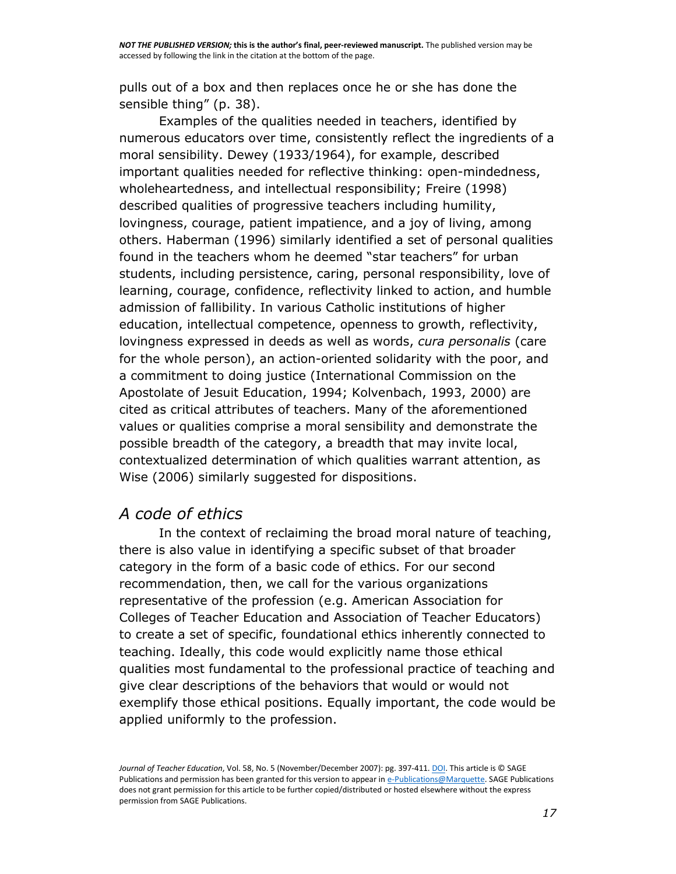pulls out of a box and then replaces once he or she has done the sensible thing" (p. 38).

Examples of the qualities needed in teachers, identified by numerous educators over time, consistently reflect the ingredients of a moral sensibility. Dewey (1933/1964), for example, described important qualities needed for reflective thinking: open-mindedness, wholeheartedness, and intellectual responsibility; Freire (1998) described qualities of progressive teachers including humility, lovingness, courage, patient impatience, and a joy of living, among others. Haberman (1996) similarly identified a set of personal qualities found in the teachers whom he deemed "star teachers" for urban students, including persistence, caring, personal responsibility, love of learning, courage, confidence, reflectivity linked to action, and humble admission of fallibility. In various Catholic institutions of higher education, intellectual competence, openness to growth, reflectivity, lovingness expressed in deeds as well as words, *cura personalis* (care for the whole person), an action-oriented solidarity with the poor, and a commitment to doing justice (International Commission on the Apostolate of Jesuit Education, 1994; Kolvenbach, 1993, 2000) are cited as critical attributes of teachers. Many of the aforementioned values or qualities comprise a moral sensibility and demonstrate the possible breadth of the category, a breadth that may invite local, contextualized determination of which qualities warrant attention, as Wise (2006) similarly suggested for dispositions.

#### *A code of ethics*

In the context of reclaiming the broad moral nature of teaching, there is also value in identifying a specific subset of that broader category in the form of a basic code of ethics. For our second recommendation, then, we call for the various organizations representative of the profession (e.g. American Association for Colleges of Teacher Education and Association of Teacher Educators) to create a set of specific, foundational ethics inherently connected to teaching. Ideally, this code would explicitly name those ethical qualities most fundamental to the professional practice of teaching and give clear descriptions of the behaviors that would or would not exemplify those ethical positions. Equally important, the code would be applied uniformly to the profession.

*Journal of Teacher Education*, Vol. 58, No. 5 (November/December 2007): pg. 397-411[. DOI.](http://dx.doi.org/10.1177/0022487107307949) This article is © SAGE Publications and permission has been granted for this version to appear i[n e-Publications@Marquette.](http://epublications.marquette.edu/) SAGE Publications does not grant permission for this article to be further copied/distributed or hosted elsewhere without the express permission from SAGE Publications.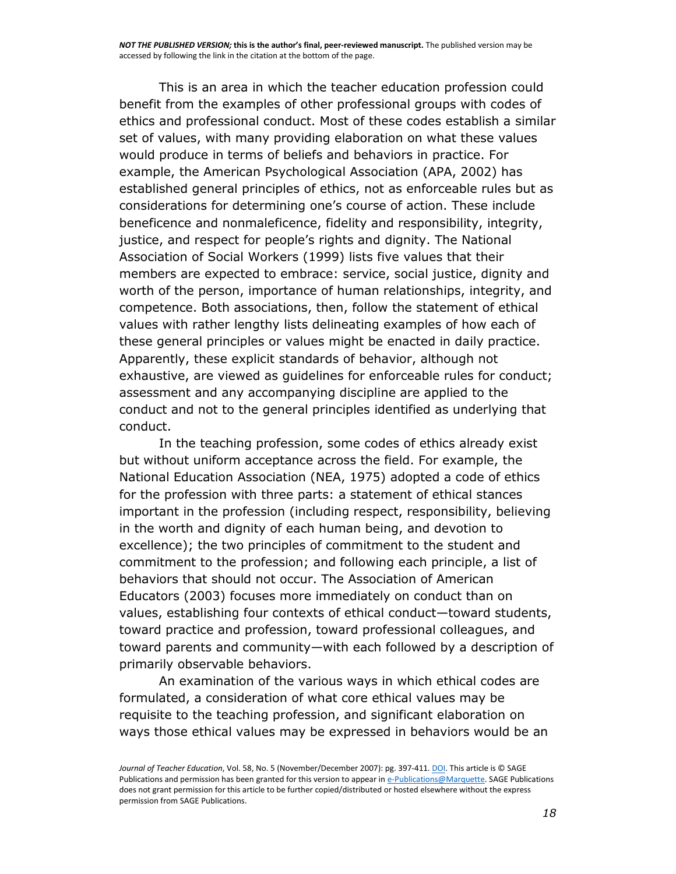This is an area in which the teacher education profession could benefit from the examples of other professional groups with codes of ethics and professional conduct. Most of these codes establish a similar set of values, with many providing elaboration on what these values would produce in terms of beliefs and behaviors in practice. For example, the American Psychological Association (APA, 2002) has established general principles of ethics, not as enforceable rules but as considerations for determining one's course of action. These include beneficence and nonmaleficence, fidelity and responsibility, integrity, justice, and respect for people's rights and dignity. The National Association of Social Workers (1999) lists five values that their members are expected to embrace: service, social justice, dignity and worth of the person, importance of human relationships, integrity, and competence. Both associations, then, follow the statement of ethical values with rather lengthy lists delineating examples of how each of these general principles or values might be enacted in daily practice. Apparently, these explicit standards of behavior, although not exhaustive, are viewed as guidelines for enforceable rules for conduct; assessment and any accompanying discipline are applied to the conduct and not to the general principles identified as underlying that conduct.

In the teaching profession, some codes of ethics already exist but without uniform acceptance across the field. For example, the National Education Association (NEA, 1975) adopted a code of ethics for the profession with three parts: a statement of ethical stances important in the profession (including respect, responsibility, believing in the worth and dignity of each human being, and devotion to excellence); the two principles of commitment to the student and commitment to the profession; and following each principle, a list of behaviors that should not occur. The Association of American Educators (2003) focuses more immediately on conduct than on values, establishing four contexts of ethical conduct—toward students, toward practice and profession, toward professional colleagues, and toward parents and community—with each followed by a description of primarily observable behaviors.

An examination of the various ways in which ethical codes are formulated, a consideration of what core ethical values may be requisite to the teaching profession, and significant elaboration on ways those ethical values may be expressed in behaviors would be an

*Journal of Teacher Education*, Vol. 58, No. 5 (November/December 2007): pg. 397-411[. DOI.](http://dx.doi.org/10.1177/0022487107307949) This article is © SAGE Publications and permission has been granted for this version to appear i[n e-Publications@Marquette.](http://epublications.marquette.edu/) SAGE Publications does not grant permission for this article to be further copied/distributed or hosted elsewhere without the express permission from SAGE Publications.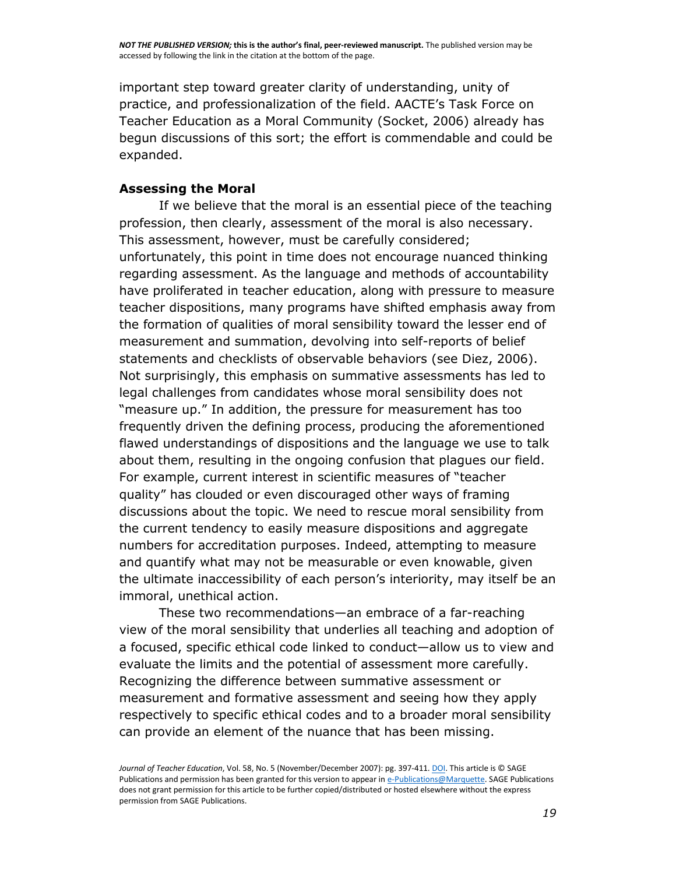important step toward greater clarity of understanding, unity of practice, and professionalization of the field. AACTE's Task Force on Teacher Education as a Moral Community (Socket, 2006) already has begun discussions of this sort; the effort is commendable and could be expanded.

#### **Assessing the Moral**

If we believe that the moral is an essential piece of the teaching profession, then clearly, assessment of the moral is also necessary. This assessment, however, must be carefully considered; unfortunately, this point in time does not encourage nuanced thinking regarding assessment. As the language and methods of accountability have proliferated in teacher education, along with pressure to measure teacher dispositions, many programs have shifted emphasis away from the formation of qualities of moral sensibility toward the lesser end of measurement and summation, devolving into self-reports of belief statements and checklists of observable behaviors (see Diez, 2006). Not surprisingly, this emphasis on summative assessments has led to legal challenges from candidates whose moral sensibility does not "measure up." In addition, the pressure for measurement has too frequently driven the defining process, producing the aforementioned flawed understandings of dispositions and the language we use to talk about them, resulting in the ongoing confusion that plagues our field. For example, current interest in scientific measures of "teacher quality" has clouded or even discouraged other ways of framing discussions about the topic. We need to rescue moral sensibility from the current tendency to easily measure dispositions and aggregate numbers for accreditation purposes. Indeed, attempting to measure and quantify what may not be measurable or even knowable, given the ultimate inaccessibility of each person's interiority, may itself be an immoral, unethical action.

These two recommendations—an embrace of a far-reaching view of the moral sensibility that underlies all teaching and adoption of a focused, specific ethical code linked to conduct—allow us to view and evaluate the limits and the potential of assessment more carefully. Recognizing the difference between summative assessment or measurement and formative assessment and seeing how they apply respectively to specific ethical codes and to a broader moral sensibility can provide an element of the nuance that has been missing.

*Journal of Teacher Education*, Vol. 58, No. 5 (November/December 2007): pg. 397-411[. DOI.](http://dx.doi.org/10.1177/0022487107307949) This article is © SAGE Publications and permission has been granted for this version to appear i[n e-Publications@Marquette.](http://epublications.marquette.edu/) SAGE Publications does not grant permission for this article to be further copied/distributed or hosted elsewhere without the express permission from SAGE Publications.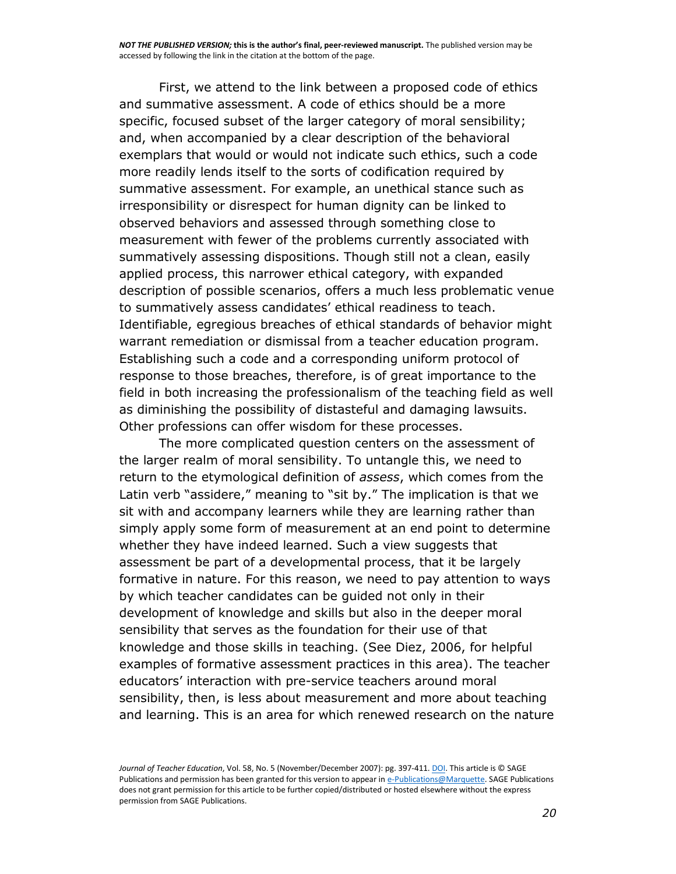First, we attend to the link between a proposed code of ethics and summative assessment. A code of ethics should be a more specific, focused subset of the larger category of moral sensibility; and, when accompanied by a clear description of the behavioral exemplars that would or would not indicate such ethics, such a code more readily lends itself to the sorts of codification required by summative assessment. For example, an unethical stance such as irresponsibility or disrespect for human dignity can be linked to observed behaviors and assessed through something close to measurement with fewer of the problems currently associated with summatively assessing dispositions. Though still not a clean, easily applied process, this narrower ethical category, with expanded description of possible scenarios, offers a much less problematic venue to summatively assess candidates' ethical readiness to teach. Identifiable, egregious breaches of ethical standards of behavior might warrant remediation or dismissal from a teacher education program. Establishing such a code and a corresponding uniform protocol of response to those breaches, therefore, is of great importance to the field in both increasing the professionalism of the teaching field as well as diminishing the possibility of distasteful and damaging lawsuits. Other professions can offer wisdom for these processes.

The more complicated question centers on the assessment of the larger realm of moral sensibility. To untangle this, we need to return to the etymological definition of *assess*, which comes from the Latin verb "assidere," meaning to "sit by." The implication is that we sit with and accompany learners while they are learning rather than simply apply some form of measurement at an end point to determine whether they have indeed learned. Such a view suggests that assessment be part of a developmental process, that it be largely formative in nature. For this reason, we need to pay attention to ways by which teacher candidates can be guided not only in their development of knowledge and skills but also in the deeper moral sensibility that serves as the foundation for their use of that knowledge and those skills in teaching. (See Diez, 2006, for helpful examples of formative assessment practices in this area). The teacher educators' interaction with pre-service teachers around moral sensibility, then, is less about measurement and more about teaching and learning. This is an area for which renewed research on the nature

*Journal of Teacher Education*, Vol. 58, No. 5 (November/December 2007): pg. 397-411[. DOI.](http://dx.doi.org/10.1177/0022487107307949) This article is © SAGE Publications and permission has been granted for this version to appear i[n e-Publications@Marquette.](http://epublications.marquette.edu/) SAGE Publications does not grant permission for this article to be further copied/distributed or hosted elsewhere without the express permission from SAGE Publications.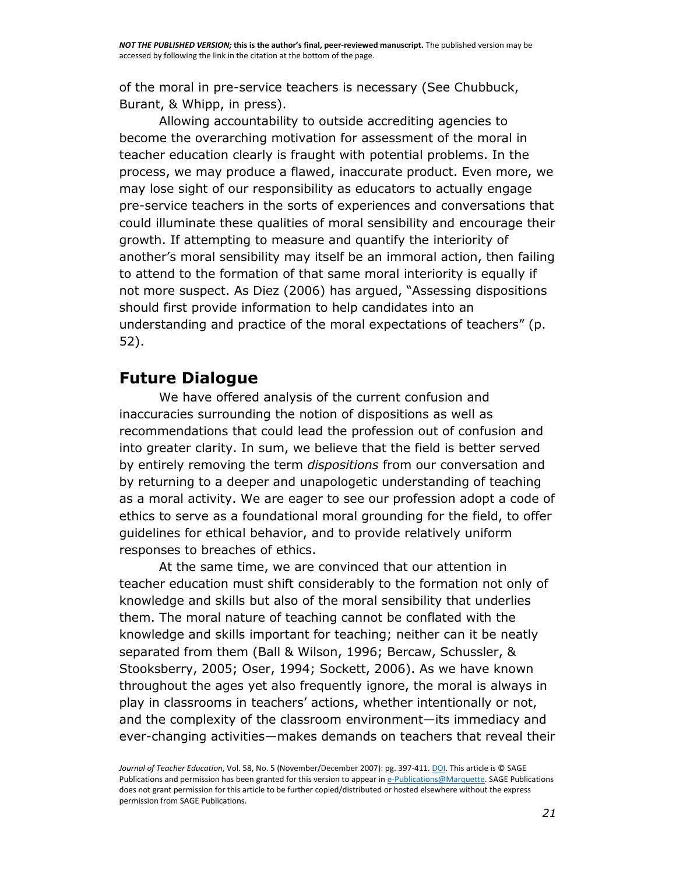of the moral in pre-service teachers is necessary (See Chubbuck, Burant, & Whipp, in press).

Allowing accountability to outside accrediting agencies to become the overarching motivation for assessment of the moral in teacher education clearly is fraught with potential problems. In the process, we may produce a flawed, inaccurate product. Even more, we may lose sight of our responsibility as educators to actually engage pre-service teachers in the sorts of experiences and conversations that could illuminate these qualities of moral sensibility and encourage their growth. If attempting to measure and quantify the interiority of another's moral sensibility may itself be an immoral action, then failing to attend to the formation of that same moral interiority is equally if not more suspect. As Diez (2006) has argued, "Assessing dispositions should first provide information to help candidates into an understanding and practice of the moral expectations of teachers" (p. 52).

## **Future Dialogue**

We have offered analysis of the current confusion and inaccuracies surrounding the notion of dispositions as well as recommendations that could lead the profession out of confusion and into greater clarity. In sum, we believe that the field is better served by entirely removing the term *dispositions* from our conversation and by returning to a deeper and unapologetic understanding of teaching as a moral activity. We are eager to see our profession adopt a code of ethics to serve as a foundational moral grounding for the field, to offer guidelines for ethical behavior, and to provide relatively uniform responses to breaches of ethics.

At the same time, we are convinced that our attention in teacher education must shift considerably to the formation not only of knowledge and skills but also of the moral sensibility that underlies them. The moral nature of teaching cannot be conflated with the knowledge and skills important for teaching; neither can it be neatly separated from them (Ball & Wilson, 1996; Bercaw, Schussler, & Stooksberry, 2005; Oser, 1994; Sockett, 2006). As we have known throughout the ages yet also frequently ignore, the moral is always in play in classrooms in teachers' actions, whether intentionally or not, and the complexity of the classroom environment—its immediacy and ever-changing activities—makes demands on teachers that reveal their

*Journal of Teacher Education*, Vol. 58, No. 5 (November/December 2007): pg. 397-411[. DOI.](http://dx.doi.org/10.1177/0022487107307949) This article is © SAGE Publications and permission has been granted for this version to appear i[n e-Publications@Marquette.](http://epublications.marquette.edu/) SAGE Publications does not grant permission for this article to be further copied/distributed or hosted elsewhere without the express permission from SAGE Publications.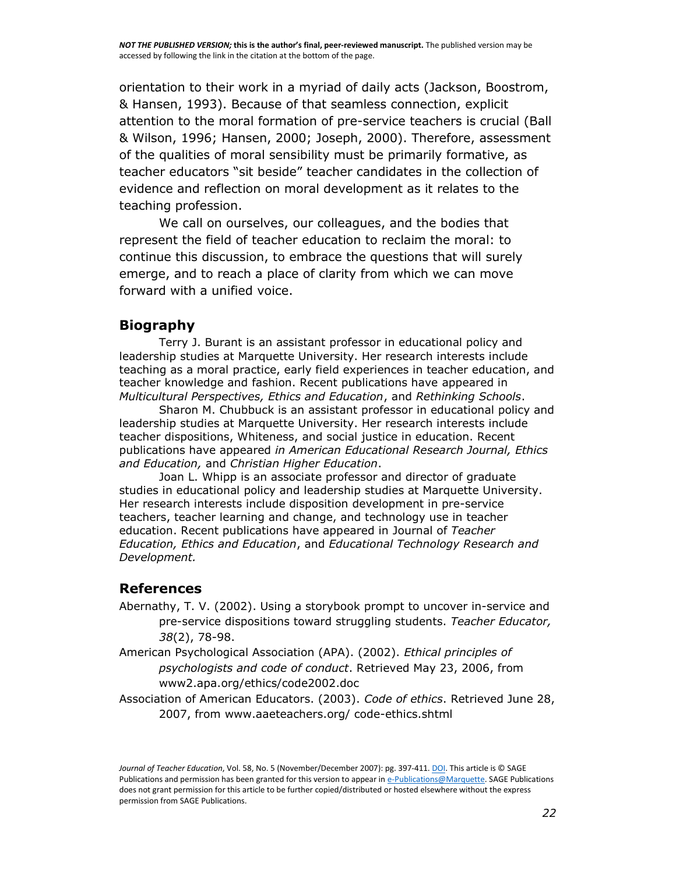orientation to their work in a myriad of daily acts (Jackson, Boostrom, & Hansen, 1993). Because of that seamless connection, explicit attention to the moral formation of pre-service teachers is crucial (Ball & Wilson, 1996; Hansen, 2000; Joseph, 2000). Therefore, assessment of the qualities of moral sensibility must be primarily formative, as teacher educators "sit beside" teacher candidates in the collection of evidence and reflection on moral development as it relates to the teaching profession.

We call on ourselves, our colleagues, and the bodies that represent the field of teacher education to reclaim the moral: to continue this discussion, to embrace the questions that will surely emerge, and to reach a place of clarity from which we can move forward with a unified voice.

#### **Biography**

Terry J. Burant is an assistant professor in educational policy and leadership studies at Marquette University. Her research interests include teaching as a moral practice, early field experiences in teacher education, and teacher knowledge and fashion. Recent publications have appeared in *Multicultural Perspectives, Ethics and Education*, and *Rethinking Schools*.

Sharon M. Chubbuck is an assistant professor in educational policy and leadership studies at Marquette University. Her research interests include teacher dispositions, Whiteness, and social justice in education. Recent publications have appeared *in American Educational Research Journal, Ethics and Education,* and *Christian Higher Education*.

Joan L. Whipp is an associate professor and director of graduate studies in educational policy and leadership studies at Marquette University. Her research interests include disposition development in pre-service teachers, teacher learning and change, and technology use in teacher education. Recent publications have appeared in Journal of *Teacher Education, Ethics and Education*, and *Educational Technology Research and Development.*

#### **References**

- Abernathy, T. V. (2002). Using a storybook prompt to uncover in-service and pre-service dispositions toward struggling students. *Teacher Educator, 38*(2), 78-98.
- American Psychological Association (APA). (2002). *Ethical principles of psychologists and code of conduct*. Retrieved May 23, 2006, from www2.apa.org/ethics/code2002.doc
- Association of American Educators. (2003). *Code of ethics*. Retrieved June 28, 2007, from www.aaeteachers.org/ code-ethics.shtml

*Journal of Teacher Education*, Vol. 58, No. 5 (November/December 2007): pg. 397-411[. DOI.](http://dx.doi.org/10.1177/0022487107307949) This article is © SAGE Publications and permission has been granted for this version to appear i[n e-Publications@Marquette.](http://epublications.marquette.edu/) SAGE Publications does not grant permission for this article to be further copied/distributed or hosted elsewhere without the express permission from SAGE Publications.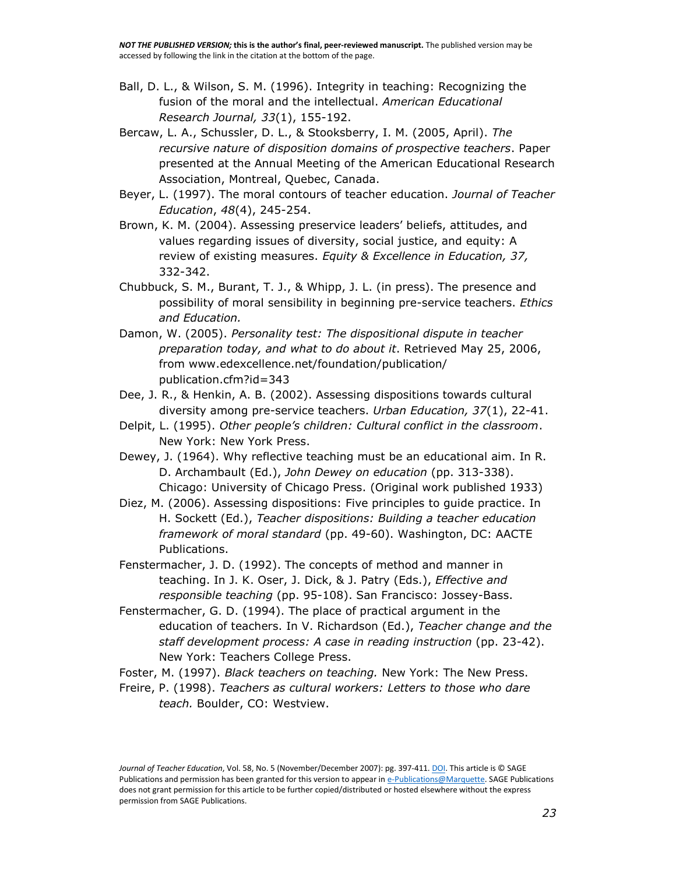- Ball, D. L., & Wilson, S. M. (1996). Integrity in teaching: Recognizing the fusion of the moral and the intellectual. *American Educational Research Journal, 33*(1), 155-192.
- Bercaw, L. A., Schussler, D. L., & Stooksberry, I. M. (2005, April). *The recursive nature of disposition domains of prospective teachers*. Paper presented at the Annual Meeting of the American Educational Research Association, Montreal, Quebec, Canada.
- Beyer, L. (1997). The moral contours of teacher education. *Journal of Teacher Education*, *48*(4), 245-254.
- Brown, K. M. (2004). Assessing preservice leaders' beliefs, attitudes, and values regarding issues of diversity, social justice, and equity: A review of existing measures. *Equity & Excellence in Education, 37,*  332-342.
- Chubbuck, S. M., Burant, T. J., & Whipp, J. L. (in press). The presence and possibility of moral sensibility in beginning pre-service teachers. *Ethics and Education.*
- Damon, W. (2005). *Personality test: The dispositional dispute in teacher preparation today, and what to do about it*. Retrieved May 25, 2006, from www.edexcellence.net/foundation/publication/ publication.cfm?id=343
- Dee, J. R., & Henkin, A. B. (2002). Assessing dispositions towards cultural diversity among pre-service teachers. *Urban Education, 37*(1), 22-41.
- Delpit, L. (1995). *Other people's children: Cultural conflict in the classroom*. New York: New York Press.
- Dewey, J. (1964). Why reflective teaching must be an educational aim. In R. D. Archambault (Ed.), *John Dewey on education* (pp. 313-338). Chicago: University of Chicago Press. (Original work published 1933)
- Diez, M. (2006). Assessing dispositions: Five principles to guide practice. In H. Sockett (Ed.), *Teacher dispositions: Building a teacher education framework of moral standard* (pp. 49-60). Washington, DC: AACTE Publications.
- Fenstermacher, J. D. (1992). The concepts of method and manner in teaching. In J. K. Oser, J. Dick, & J. Patry (Eds.), *Effective and responsible teaching* (pp. 95-108). San Francisco: Jossey-Bass.
- Fenstermacher, G. D. (1994). The place of practical argument in the education of teachers. In V. Richardson (Ed.), *Teacher change and the staff development process: A case in reading instruction* (pp. 23-42). New York: Teachers College Press.
- Foster, M. (1997). *Black teachers on teaching.* New York: The New Press.
- Freire, P. (1998). *Teachers as cultural workers: Letters to those who dare teach.* Boulder, CO: Westview.

*Journal of Teacher Education*, Vol. 58, No. 5 (November/December 2007): pg. 397-411[. DOI.](http://dx.doi.org/10.1177/0022487107307949) This article is © SAGE Publications and permission has been granted for this version to appear i[n e-Publications@Marquette.](http://epublications.marquette.edu/) SAGE Publications does not grant permission for this article to be further copied/distributed or hosted elsewhere without the express permission from SAGE Publications.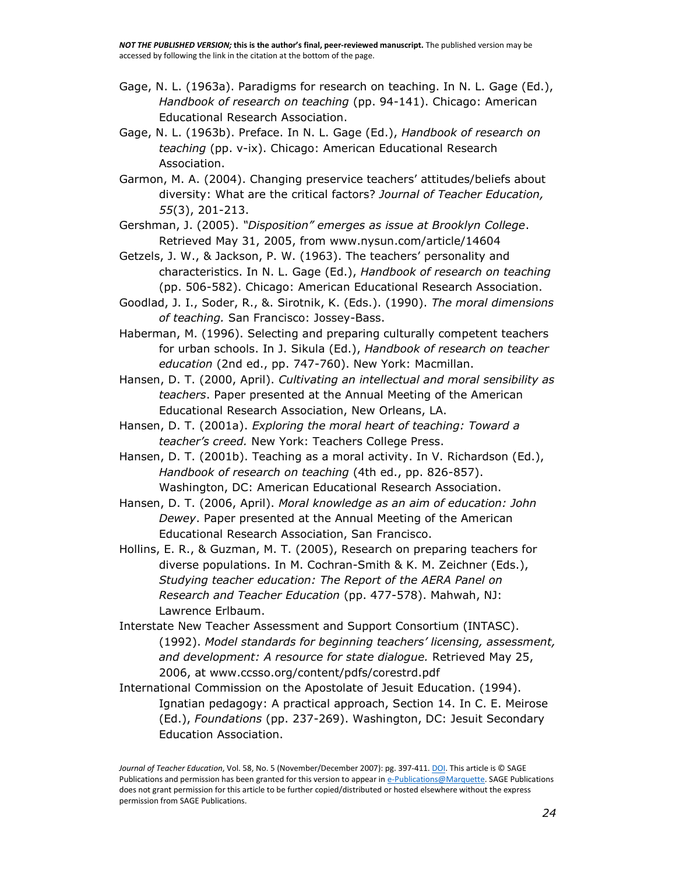- Gage, N. L. (1963a). Paradigms for research on teaching. In N. L. Gage (Ed.), *Handbook of research on teaching* (pp. 94-141). Chicago: American Educational Research Association.
- Gage, N. L. (1963b). Preface. In N. L. Gage (Ed.), *Handbook of research on teaching* (pp. v-ix). Chicago: American Educational Research Association.
- Garmon, M. A. (2004). Changing preservice teachers' attitudes/beliefs about diversity: What are the critical factors? *Journal of Teacher Education, 55*(3), 201-213.
- Gershman, J. (2005). *"Disposition" emerges as issue at Brooklyn College*. Retrieved May 31, 2005, from www.nysun.com/article/14604
- Getzels, J. W., & Jackson, P. W. (1963). The teachers' personality and characteristics. In N. L. Gage (Ed.), *Handbook of research on teaching*  (pp. 506-582). Chicago: American Educational Research Association.
- Goodlad, J. I., Soder, R., &. Sirotnik, K. (Eds.). (1990). *The moral dimensions of teaching.* San Francisco: Jossey-Bass.
- Haberman, M. (1996). Selecting and preparing culturally competent teachers for urban schools. In J. Sikula (Ed.), *Handbook of research on teacher education* (2nd ed., pp. 747-760). New York: Macmillan.
- Hansen, D. T. (2000, April). *Cultivating an intellectual and moral sensibility as teachers*. Paper presented at the Annual Meeting of the American Educational Research Association, New Orleans, LA.
- Hansen, D. T. (2001a). *Exploring the moral heart of teaching: Toward a teacher's creed.* New York: Teachers College Press.
- Hansen, D. T. (2001b). Teaching as a moral activity. In V. Richardson (Ed.), *Handbook of research on teaching* (4th ed., pp. 826-857). Washington, DC: American Educational Research Association.
- Hansen, D. T. (2006, April). *Moral knowledge as an aim of education: John Dewey*. Paper presented at the Annual Meeting of the American Educational Research Association, San Francisco.
- Hollins, E. R., & Guzman, M. T. (2005), Research on preparing teachers for diverse populations. In M. Cochran-Smith & K. M. Zeichner (Eds.), *Studying teacher education: The Report of the AERA Panel on Research and Teacher Education* (pp. 477-578). Mahwah, NJ: Lawrence Erlbaum.
- Interstate New Teacher Assessment and Support Consortium (INTASC). (1992). *Model standards for beginning teachers' licensing, assessment, and development: A resource for state dialogue.* Retrieved May 25, 2006, at www.ccsso.org/content/pdfs/corestrd.pdf
- International Commission on the Apostolate of Jesuit Education. (1994). Ignatian pedagogy: A practical approach, Section 14. In C. E. Meirose (Ed.), *Foundations* (pp. 237-269). Washington, DC: Jesuit Secondary Education Association.

*Journal of Teacher Education*, Vol. 58, No. 5 (November/December 2007): pg. 397-411[. DOI.](http://dx.doi.org/10.1177/0022487107307949) This article is © SAGE Publications and permission has been granted for this version to appear i[n e-Publications@Marquette.](http://epublications.marquette.edu/) SAGE Publications does not grant permission for this article to be further copied/distributed or hosted elsewhere without the express permission from SAGE Publications.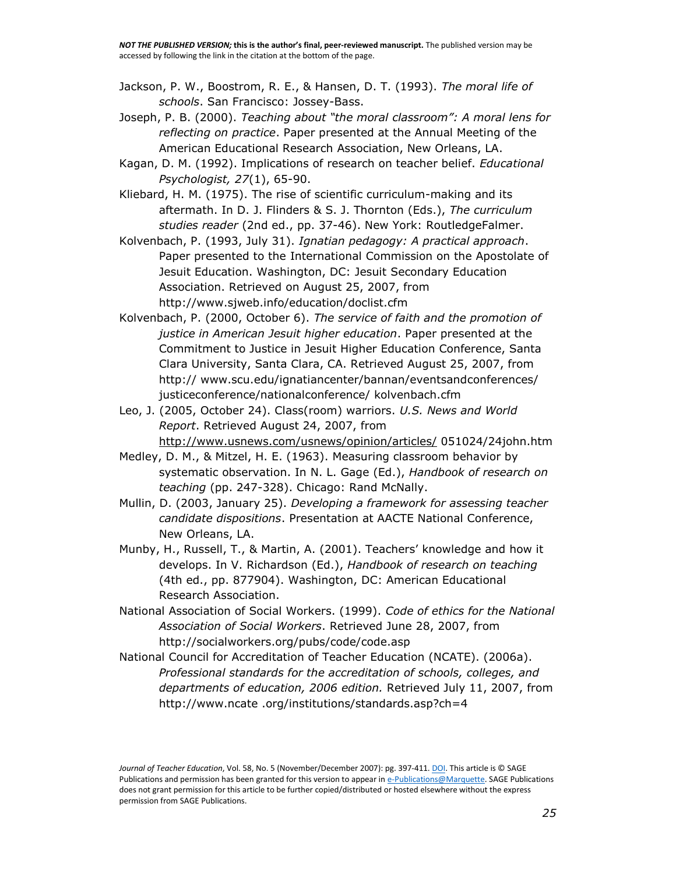- Jackson, P. W., Boostrom, R. E., & Hansen, D. T. (1993). *The moral life of schools*. San Francisco: Jossey-Bass.
- Joseph, P. B. (2000). *Teaching about "the moral classroom": A moral lens for reflecting on practice*. Paper presented at the Annual Meeting of the American Educational Research Association, New Orleans, LA.
- Kagan, D. M. (1992). Implications of research on teacher belief. *Educational Psychologist, 27*(1), 65-90.
- Kliebard, H. M. (1975). The rise of scientific curriculum-making and its aftermath. In D. J. Flinders & S. J. Thornton (Eds.), *The curriculum studies reader* (2nd ed., pp. 37-46). New York: RoutledgeFalmer.
- Kolvenbach, P. (1993, July 31). *Ignatian pedagogy: A practical approach*. Paper presented to the International Commission on the Apostolate of Jesuit Education. Washington, DC: Jesuit Secondary Education Association. Retrieved on August 25, 2007, from http://www.sjweb.info/education/doclist.cfm
- Kolvenbach, P. (2000, October 6). *The service of faith and the promotion of justice in American Jesuit higher education*. Paper presented at the Commitment to Justice in Jesuit Higher Education Conference, Santa Clara University, Santa Clara, CA. Retrieved August 25, 2007, from http:// www.scu.edu/ignatiancenter/bannan/eventsandconferences/ justiceconference/nationalconference/ kolvenbach.cfm
- Leo, J. (2005, October 24). Class(room) warriors. *U.S. News and World Report*. Retrieved August 24, 2007, from <http://www.usnews.com/usnews/opinion/articles/> 051024/24john.htm
- Medley, D. M., & Mitzel, H. E. (1963). Measuring classroom behavior by systematic observation. In N. L. Gage (Ed.), *Handbook of research on teaching* (pp. 247-328). Chicago: Rand McNally.
- Mullin, D. (2003, January 25). *Developing a framework for assessing teacher candidate dispositions*. Presentation at AACTE National Conference, New Orleans, LA.
- Munby, H., Russell, T., & Martin, A. (2001). Teachers' knowledge and how it develops. In V. Richardson (Ed.), *Handbook of research on teaching*  (4th ed., pp. 877904). Washington, DC: American Educational Research Association.
- National Association of Social Workers. (1999). *Code of ethics for the National Association of Social Workers*. Retrieved June 28, 2007, from http://socialworkers.org/pubs/code/code.asp
- National Council for Accreditation of Teacher Education (NCATE). (2006a). *Professional standards for the accreditation of schools, colleges, and departments of education, 2006 edition.* Retrieved July 11, 2007, from http://www.ncate .org/institutions/standards.asp?ch=4

*Journal of Teacher Education*, Vol. 58, No. 5 (November/December 2007): pg. 397-411[. DOI.](http://dx.doi.org/10.1177/0022487107307949) This article is © SAGE Publications and permission has been granted for this version to appear i[n e-Publications@Marquette.](http://epublications.marquette.edu/) SAGE Publications does not grant permission for this article to be further copied/distributed or hosted elsewhere without the express permission from SAGE Publications.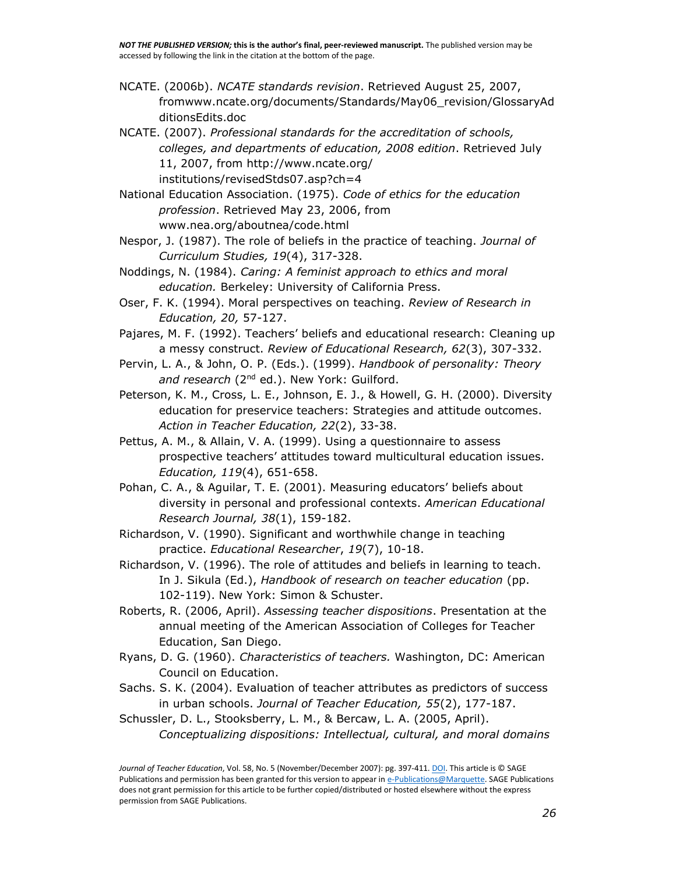- NCATE. (2006b). *NCATE standards revision*. Retrieved August 25, 2007, fromwww.ncate.org/documents/Standards/May06\_revision/GlossaryAd ditionsEdits.doc
- NCATE. (2007). *Professional standards for the accreditation of schools, colleges, and departments of education, 2008 edition*. Retrieved July 11, 2007, from http://www.ncate.org/ institutions/revisedStds07.asp?ch=4

National Education Association. (1975). *Code of ethics for the education profession*. Retrieved May 23, 2006, from www.nea.org/aboutnea/code.html

- Nespor, J. (1987). The role of beliefs in the practice of teaching. *Journal of Curriculum Studies, 19*(4), 317-328.
- Noddings, N. (1984). *Caring: A feminist approach to ethics and moral education.* Berkeley: University of California Press.
- Oser, F. K. (1994). Moral perspectives on teaching. *Review of Research in Education, 20,* 57-127.
- Pajares, M. F. (1992). Teachers' beliefs and educational research: Cleaning up a messy construct. *Review of Educational Research, 62*(3), 307-332.
- Pervin, L. A., & John, O. P. (Eds.). (1999). *Handbook of personality: Theory and research* (2nd ed.). New York: Guilford.
- Peterson, K. M., Cross, L. E., Johnson, E. J., & Howell, G. H. (2000). Diversity education for preservice teachers: Strategies and attitude outcomes. *Action in Teacher Education, 22*(2), 33-38.
- Pettus, A. M., & Allain, V. A. (1999). Using a questionnaire to assess prospective teachers' attitudes toward multicultural education issues. *Education, 119*(4), 651-658.
- Pohan, C. A., & Aguilar, T. E. (2001). Measuring educators' beliefs about diversity in personal and professional contexts. *American Educational Research Journal, 38*(1), 159-182.
- Richardson, V. (1990). Significant and worthwhile change in teaching practice. *Educational Researcher*, *19*(7), 10-18.
- Richardson, V. (1996). The role of attitudes and beliefs in learning to teach. In J. Sikula (Ed.), *Handbook of research on teacher education* (pp. 102-119). New York: Simon & Schuster.
- Roberts, R. (2006, April). *Assessing teacher dispositions*. Presentation at the annual meeting of the American Association of Colleges for Teacher Education, San Diego.
- Ryans, D. G. (1960). *Characteristics of teachers.* Washington, DC: American Council on Education.
- Sachs. S. K. (2004). Evaluation of teacher attributes as predictors of success in urban schools. *Journal of Teacher Education, 55*(2), 177-187.
- Schussler, D. L., Stooksberry, L. M., & Bercaw, L. A. (2005, April). *Conceptualizing dispositions: Intellectual, cultural, and moral domains*

*Journal of Teacher Education*, Vol. 58, No. 5 (November/December 2007): pg. 397-411[. DOI.](http://dx.doi.org/10.1177/0022487107307949) This article is © SAGE Publications and permission has been granted for this version to appear i[n e-Publications@Marquette.](http://epublications.marquette.edu/) SAGE Publications does not grant permission for this article to be further copied/distributed or hosted elsewhere without the express permission from SAGE Publications.